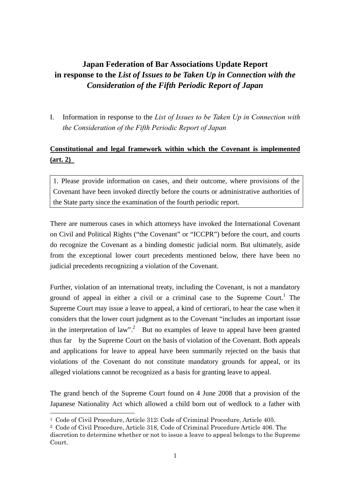# **Japan Federation of Bar Associations Update Report in response to the** *List of Issues to be Taken Up in Connection with the Consideration of the Fifth Periodic Report of Japan*

I. Information in response to the *List of Issues to be Taken Up in Connection with the Consideration of the Fifth Periodic Report of Japan*

# **Constitutional and legal framework within which the Covenant is implemented (art. 2)**

1. Please provide information on cases, and their outcome, where provisions of the Covenant have been invoked directly before the courts or administrative authorities of the State party since the examination of the fourth periodic report.

There are numerous cases in which attorneys have invoked the International Covenant on Civil and Political Rights ("the Covenant" or "ICCPR") before the court, and courts do recognize the Covenant as a binding domestic judicial norm. But ultimately, aside from the exceptional lower court precedents mentioned below, there have been no judicial precedents recognizing a violation of the Covenant.

Further, violation of an international treaty, including the Covenant, is not a mandatory ground of appeal in either a civil or a criminal case to the Supreme Court.<sup>1</sup> The Supreme Court may issue a leave to appeal, a kind of certiorari, to hear the case when it considers that the lower court judgment as to the Covenant "includes an important issue in the interpretation of law".<sup>2</sup> But no examples of leave to appeal have been granted thus far by the Supreme Court on the basis of violation of the Covenant. Both appeals and applications for leave to appeal have been summarily rejected on the basis that violations of the Covenant do not constitute mandatory grounds for appeal, or its alleged violations cannot be recognized as a basis for granting leave to appeal.

The grand bench of the Supreme Court found on 4 June 2008 that a provision of the Japanese Nationality Act which allowed a child born out of wedlock to a father with

 $\overline{a}$ 

<sup>1</sup> Code of Civil Procedure, Article 312; Code of Criminal Procedure, Article 405.

<sup>2</sup> Code of Civil Procedure, Article 318, Code of Criminal Procedure Article 406. The

discretion to determine whether or not to issue a leave to appeal belongs to the Supreme Court.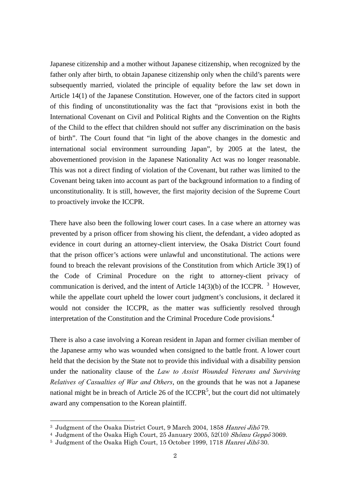Japanese citizenship and a mother without Japanese citizenship, when recognized by the father only after birth, to obtain Japanese citizenship only when the child's parents were subsequently married, violated the principle of equality before the law set down in Article 14(1) of the Japanese Constitution. However, one of the factors cited in support of this finding of unconstitutionality was the fact that "provisions exist in both the International Covenant on Civil and Political Rights and the Convention on the Rights of the Child to the effect that children should not suffer any discrimination on the basis of birth". The Court found that "in light of the above changes in the domestic and international social environment surrounding Japan", by 2005 at the latest, the abovementioned provision in the Japanese Nationality Act was no longer reasonable. This was not a direct finding of violation of the Covenant, but rather was limited to the Covenant being taken into account as part of the background information to a finding of unconstitutionality. It is still, however, the first majority decision of the Supreme Court to proactively invoke the ICCPR.

There have also been the following lower court cases. In a case where an attorney was prevented by a prison officer from showing his client, the defendant, a video adopted as evidence in court during an attorney-client interview, the Osaka District Court found that the prison officer's actions were unlawful and unconstitutional. The actions were found to breach the relevant provisions of the Constitution from which Article 39(1) of the Code of Criminal Procedure on the right to attorney-client privacy of communication is derived, and the intent of Article  $14(3)(b)$  of the ICCPR. <sup>3</sup> However, while the appellate court upheld the lower court judgment's conclusions, it declared it would not consider the ICCPR, as the matter was sufficiently resolved through interpretation of the Constitution and the Criminal Procedure Code provisions.<sup>4</sup>

There is also a case involving a Korean resident in Japan and former civilian member of the Japanese army who was wounded when consigned to the battle front. A lower court held that the decision by the State not to provide this individual with a disability pension under the nationality clause of the *Law to Assist Wounded Veterans and Surviving Relatives of Casualties of War and Others*, on the grounds that he was not a Japanese national might be in breach of Article 26 of the ICCPR<sup>5</sup>, but the court did not ultimately award any compensation to the Korean plaintiff.

 $\overline{a}$ 

<sup>&</sup>lt;sup>3</sup> Judgment of the Osaka District Court, 9 March 2004, 1858 Hanrei Jihō 79.

<sup>&</sup>lt;sup>4</sup> Judgment of the Osaka High Court, 25 January 2005, 52(10) Shomu Geppo 3069.

<sup>&</sup>lt;sup>5</sup> Judgment of the Osaka High Court, 15 October 1999, 1718 Hanrei Jiho  $30$ .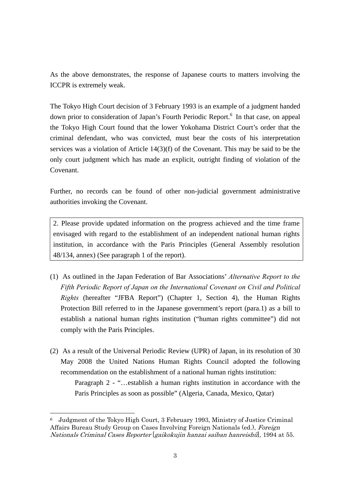As the above demonstrates, the response of Japanese courts to matters involving the ICCPR is extremely weak.

The Tokyo High Court decision of 3 February 1993 is an example of a judgment handed down prior to consideration of Japan's Fourth Periodic Report.<sup>6</sup> In that case, on appeal the Tokyo High Court found that the lower Yokohama District Court's order that the criminal defendant, who was convicted, must bear the costs of his interpretation services was a violation of Article 14(3)(f) of the Covenant. This may be said to be the only court judgment which has made an explicit, outright finding of violation of the Covenant.

Further, no records can be found of other non-judicial government administrative authorities invoking the Covenant.

2. Please provide updated information on the progress achieved and the time frame envisaged with regard to the establishment of an independent national human rights institution, in accordance with the Paris Principles (General Assembly resolution 48/134, annex) (See paragraph 1 of the report).

- (1) As outlined in the Japan Federation of Bar Associations' *Alternative Report to the Fifth Periodic Report of Japan on the International Covenant on Civil and Political Rights* (hereafter "JFBA Report") (Chapter 1, Section 4), the Human Rights Protection Bill referred to in the Japanese government's report (para.1) as a bill to establish a national human rights institution ("human rights committee") did not comply with the Paris Principles.
- (2) As a result of the Universal Periodic Review (UPR) of Japan, in its resolution of 30 May 2008 the United Nations Human Rights Council adopted the following recommendation on the establishment of a national human rights institution:

Paragraph 2 - "…establish a human rights institution in accordance with the Paris Principles as soon as possible" (Algeria, Canada, Mexico, Qatar)

 $\overline{a}$ 

<sup>6</sup> Judgment of the Tokyo High Court, 3 February 1993, Ministry of Justice Criminal Affairs Bureau Study Group on Cases Involving Foreign Nationals (ed.), Foreign Nationals Criminal Cases Reporter [gaikokujin hanzai saiban hanreishū], 1994 at 55.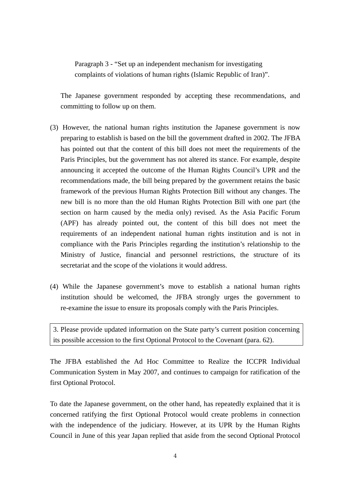Paragraph 3 - "Set up an independent mechanism for investigating complaints of violations of human rights (Islamic Republic of Iran)".

The Japanese government responded by accepting these recommendations, and committing to follow up on them.

- (3) However, the national human rights institution the Japanese government is now preparing to establish is based on the bill the government drafted in 2002. The JFBA has pointed out that the content of this bill does not meet the requirements of the Paris Principles, but the government has not altered its stance. For example, despite announcing it accepted the outcome of the Human Rights Council's UPR and the recommendations made, the bill being prepared by the government retains the basic framework of the previous Human Rights Protection Bill without any changes. The new bill is no more than the old Human Rights Protection Bill with one part (the section on harm caused by the media only) revised. As the Asia Pacific Forum (APF) has already pointed out, the content of this bill does not meet the requirements of an independent national human rights institution and is not in compliance with the Paris Principles regarding the institution's relationship to the Ministry of Justice, financial and personnel restrictions, the structure of its secretariat and the scope of the violations it would address.
- (4) While the Japanese government's move to establish a national human rights institution should be welcomed, the JFBA strongly urges the government to re-examine the issue to ensure its proposals comply with the Paris Principles.

3. Please provide updated information on the State party's current position concerning its possible accession to the first Optional Protocol to the Covenant (para. 62).

The JFBA established the Ad Hoc Committee to Realize the ICCPR Individual Communication System in May 2007, and continues to campaign for ratification of the first Optional Protocol.

To date the Japanese government, on the other hand, has repeatedly explained that it is concerned ratifying the first Optional Protocol would create problems in connection with the independence of the judiciary. However, at its UPR by the Human Rights Council in June of this year Japan replied that aside from the second Optional Protocol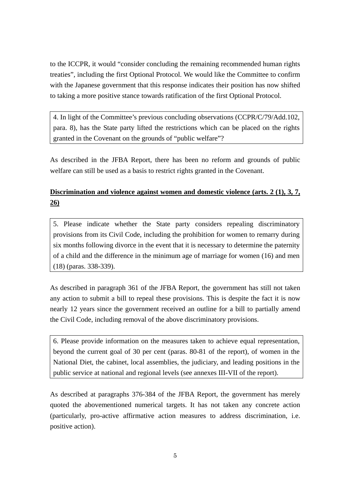to the ICCPR, it would "consider concluding the remaining recommended human rights treaties", including the first Optional Protocol. We would like the Committee to confirm with the Japanese government that this response indicates their position has now shifted to taking a more positive stance towards ratification of the first Optional Protocol.

4. In light of the Committee's previous concluding observations (CCPR/C/79/Add.102, para. 8), has the State party lifted the restrictions which can be placed on the rights granted in the Covenant on the grounds of "public welfare"?

As described in the JFBA Report, there has been no reform and grounds of public welfare can still be used as a basis to restrict rights granted in the Covenant.

# **Discrimination and violence against women and domestic violence (arts. 2 (1), 3, 7, 26)**

5. Please indicate whether the State party considers repealing discriminatory provisions from its Civil Code, including the prohibition for women to remarry during six months following divorce in the event that it is necessary to determine the paternity of a child and the difference in the minimum age of marriage for women (16) and men (18) (paras. 338-339).

As described in paragraph 361 of the JFBA Report, the government has still not taken any action to submit a bill to repeal these provisions. This is despite the fact it is now nearly 12 years since the government received an outline for a bill to partially amend the Civil Code, including removal of the above discriminatory provisions.

6. Please provide information on the measures taken to achieve equal representation, beyond the current goal of 30 per cent (paras. 80-81 of the report), of women in the National Diet, the cabinet, local assemblies, the judiciary, and leading positions in the public service at national and regional levels (see annexes III-VII of the report).

As described at paragraphs 376-384 of the JFBA Report, the government has merely quoted the abovementioned numerical targets. It has not taken any concrete action (particularly, pro-active affirmative action measures to address discrimination, i.e. positive action).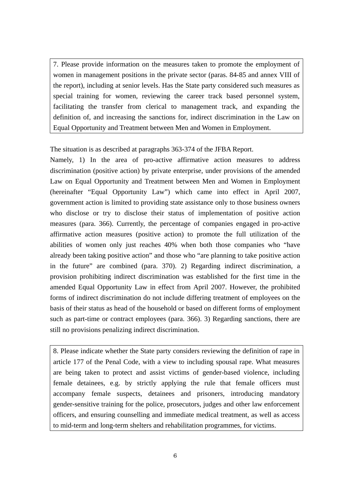7. Please provide information on the measures taken to promote the employment of women in management positions in the private sector (paras. 84-85 and annex VIII of the report), including at senior levels. Has the State party considered such measures as special training for women, reviewing the career track based personnel system, facilitating the transfer from clerical to management track, and expanding the definition of, and increasing the sanctions for, indirect discrimination in the Law on Equal Opportunity and Treatment between Men and Women in Employment.

The situation is as described at paragraphs 363-374 of the JFBA Report.

Namely, 1) In the area of pro-active affirmative action measures to address discrimination (positive action) by private enterprise, under provisions of the amended Law on Equal Opportunity and Treatment between Men and Women in Employment (hereinafter "Equal Opportunity Law") which came into effect in April 2007, government action is limited to providing state assistance only to those business owners who disclose or try to disclose their status of implementation of positive action measures (para. 366). Currently, the percentage of companies engaged in pro-active affirmative action measures (positive action) to promote the full utilization of the abilities of women only just reaches 40% when both those companies who "have already been taking positive action" and those who "are planning to take positive action in the future" are combined (para. 370). 2) Regarding indirect discrimination, a provision prohibiting indirect discrimination was established for the first time in the amended Equal Opportunity Law in effect from April 2007. However, the prohibited forms of indirect discrimination do not include differing treatment of employees on the basis of their status as head of the household or based on different forms of employment such as part-time or contract employees (para. 366). 3) Regarding sanctions, there are still no provisions penalizing indirect discrimination.

8. Please indicate whether the State party considers reviewing the definition of rape in article 177 of the Penal Code, with a view to including spousal rape. What measures are being taken to protect and assist victims of gender-based violence, including female detainees, e.g. by strictly applying the rule that female officers must accompany female suspects, detainees and prisoners, introducing mandatory gender-sensitive training for the police, prosecutors, judges and other law enforcement officers, and ensuring counselling and immediate medical treatment, as well as access to mid-term and long-term shelters and rehabilitation programmes, for victims.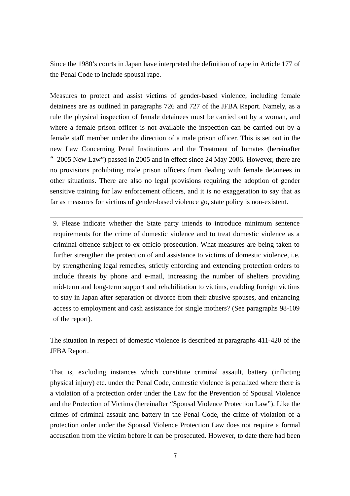Since the 1980's courts in Japan have interpreted the definition of rape in Article 177 of the Penal Code to include spousal rape.

Measures to protect and assist victims of gender-based violence, including female detainees are as outlined in paragraphs 726 and 727 of the JFBA Report. Namely, as a rule the physical inspection of female detainees must be carried out by a woman, and where a female prison officer is not available the inspection can be carried out by a female staff member under the direction of a male prison officer. This is set out in the new Law Concerning Penal Institutions and the Treatment of Inmates (hereinafter "2005 New Law") passed in 2005 and in effect since 24 May 2006. However, there are no provisions prohibiting male prison officers from dealing with female detainees in other situations. There are also no legal provisions requiring the adoption of gender sensitive training for law enforcement officers, and it is no exaggeration to say that as far as measures for victims of gender-based violence go, state policy is non-existent.

9. Please indicate whether the State party intends to introduce minimum sentence requirements for the crime of domestic violence and to treat domestic violence as a criminal offence subject to ex officio prosecution. What measures are being taken to further strengthen the protection of and assistance to victims of domestic violence, i.e. by strengthening legal remedies, strictly enforcing and extending protection orders to include threats by phone and e-mail, increasing the number of shelters providing mid-term and long-term support and rehabilitation to victims, enabling foreign victims to stay in Japan after separation or divorce from their abusive spouses, and enhancing access to employment and cash assistance for single mothers? (See paragraphs 98-109 of the report).

The situation in respect of domestic violence is described at paragraphs 411-420 of the JFBA Report.

That is, excluding instances which constitute criminal assault, battery (inflicting physical injury) etc. under the Penal Code, domestic violence is penalized where there is a violation of a protection order under the Law for the Prevention of Spousal Violence and the Protection of Victims (hereinafter "Spousal Violence Protection Law"). Like the crimes of criminal assault and battery in the Penal Code, the crime of violation of a protection order under the Spousal Violence Protection Law does not require a formal accusation from the victim before it can be prosecuted. However, to date there had been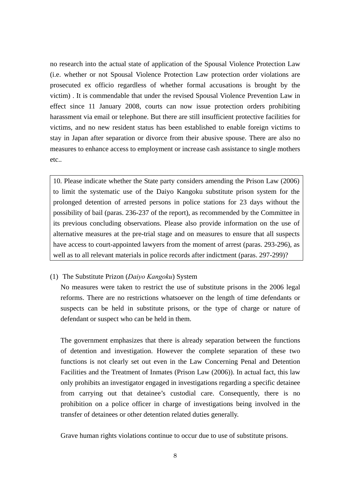no research into the actual state of application of the Spousal Violence Protection Law (i.e. whether or not Spousal Violence Protection Law protection order violations are prosecuted ex officio regardless of whether formal accusations is brought by the victim) . It is commendable that under the revised Spousal Violence Prevention Law in effect since 11 January 2008, courts can now issue protection orders prohibiting harassment via email or telephone. But there are still insufficient protective facilities for victims, and no new resident status has been established to enable foreign victims to stay in Japan after separation or divorce from their abusive spouse. There are also no measures to enhance access to employment or increase cash assistance to single mothers etc..

10. Please indicate whether the State party considers amending the Prison Law (2006) to limit the systematic use of the Daiyo Kangoku substitute prison system for the prolonged detention of arrested persons in police stations for 23 days without the possibility of bail (paras. 236-237 of the report), as recommended by the Committee in its previous concluding observations. Please also provide information on the use of alternative measures at the pre-trial stage and on measures to ensure that all suspects have access to court-appointed lawyers from the moment of arrest (paras. 293-296), as well as to all relevant materials in police records after indictment (paras. 297-299)?

#### (1) The Substitute Prizon (*Daiyo Kangoku*) System

No measures were taken to restrict the use of substitute prisons in the 2006 legal reforms. There are no restrictions whatsoever on the length of time defendants or suspects can be held in substitute prisons, or the type of charge or nature of defendant or suspect who can be held in them.

The government emphasizes that there is already separation between the functions of detention and investigation. However the complete separation of these two functions is not clearly set out even in the Law Concerning Penal and Detention Facilities and the Treatment of Inmates (Prison Law (2006)). In actual fact, this law only prohibits an investigator engaged in investigations regarding a specific detainee from carrying out that detainee's custodial care. Consequently, there is no prohibition on a police officer in charge of investigations being involved in the transfer of detainees or other detention related duties generally.

Grave human rights violations continue to occur due to use of substitute prisons.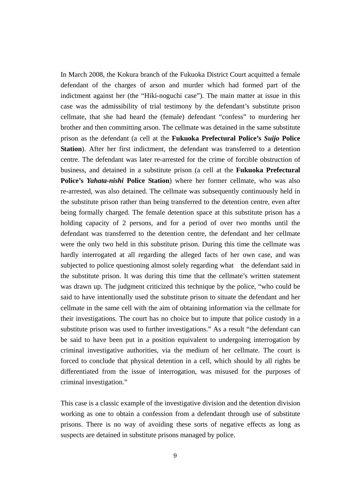In March 2008, the Kokura branch of the Fukuoka District Court acquitted a female defendant of the charges of arson and murder which had formed part of the indictment against her (the "Hiki-noguchi case"). The main matter at issue in this case was the admissibility of trial testimony by the defendant's substitute prison cellmate, that she had heard the (female) defendant "confess" to murdering her brother and then committing arson. The cellmate was detained in the same substitute prison as the defendant (a cell at the **Fukuoka Prefectural Police's** *Suijo* **Police Station**). After her first indictment, the defendant was transferred to a detention centre. The defendant was later re-arrested for the crime of forcible obstruction of business, and detained in a substitute prison (a cell at the **Fukuoka Prefectural Police's** *Yahata-nishi* **Police Station**) where her former cellmate, who was also re-arrested, was also detained. The cellmate was subsequently continuously held in the substitute prison rather than being transferred to the detention centre, even after being formally charged. The female detention space at this substitute prison has a holding capacity of 2 persons, and for a period of over two months until the defendant was transferred to the detention centre, the defendant and her cellmate were the only two held in this substitute prison. During this time the cellmate was hardly interrogated at all regarding the alleged facts of her own case, and was subjected to police questioning almost solely regarding what the defendant said in the substitute prison. It was during this time that the cellmate's written statement was drawn up. The judgment criticized this technique by the police, "who could be said to have intentionally used the substitute prison to situate the defendant and her cellmate in the same cell with the aim of obtaining information via the cellmate for their investigations. The court has no choice but to impute that police custody in a substitute prison was used to further investigations." As a result "the defendant can be said to have been put in a position equivalent to undergoing interrogation by criminal investigative authorities, via the medium of her cellmate. The court is forced to conclude that physical detention in a cell, which should by all rights be differentiated from the issue of interrogation, was misused for the purposes of criminal investigation."

This case is a classic example of the investigative division and the detention division working as one to obtain a confession from a defendant through use of substitute prisons. There is no way of avoiding these sorts of negative effects as long as suspects are detained in substitute prisons managed by police.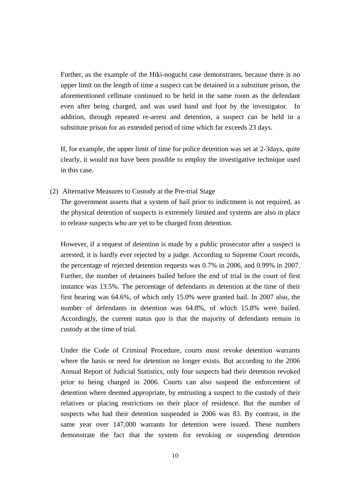Further, as the example of the Hiki-noguchi case demonstrates, because there is no upper limit on the length of time a suspect can be detained in a substitute prison, the aforementioned cellmate continued to be held in the same room as the defendant even after being charged, and was used hand and foot by the investigator. In addition, through repeated re-arrest and detention, a suspect can be held in a substitute prison for an extended period of time which far exceeds 23 days.

If, for example, the upper limit of time for police detention was set at 2-3days, quite clearly, it would not have been possible to employ the investigative technique used in this case.

(2) Alternative Measures to Custody at the Pre-trial Stage

The government asserts that a system of bail prior to indictment is not required, as the physical detention of suspects is extremely limited and systems are also in place to release suspects who are yet to be charged from detention.

However, if a request of detention is made by a public prosecutor after a suspect is arrested, it is hardly ever rejected by a judge. According to Supreme Court records, the percentage of rejected detention requests was 0.7% in 2006, and 0.99% in 2007. Further, the number of detainees bailed before the end of trial in the court of first instance was 13.5%. The percentage of defendants in detention at the time of their first hearing was 64.6%, of which only 15.0% were granted bail. In 2007 also, the number of defendants in detention was 64.8%, of which 15.8% were bailed. Accordingly, the current status quo is that the majority of defendants remain in custody at the time of trial.

Under the Code of Criminal Procedure, courts must revoke detention warrants where the basis or need for detention no longer exists. But according to the 2006 Annual Report of Judicial Statistics, only four suspects had their detention revoked prior to being charged in 2006. Courts can also suspend the enforcement of detention where deemed appropriate, by entrusting a suspect to the custody of their relatives or placing restrictions on their place of residence. But the number of suspects who had their detention suspended in 2006 was 83. By contrast, in the same year over 147,000 warrants for detention were issued. These numbers demonstrate the fact that the system for revoking or suspending detention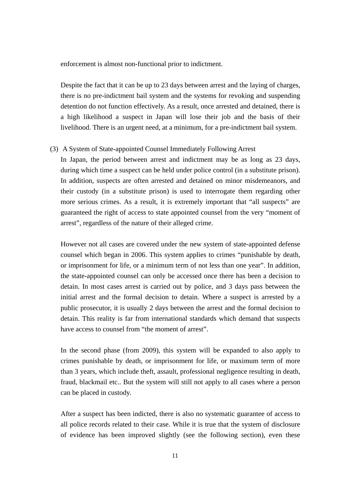enforcement is almost non-functional prior to indictment.

Despite the fact that it can be up to 23 days between arrest and the laying of charges, there is no pre-indictment bail system and the systems for revoking and suspending detention do not function effectively. As a result, once arrested and detained, there is a high likelihood a suspect in Japan will lose their job and the basis of their livelihood. There is an urgent need, at a minimum, for a pre-indictment bail system.

#### (3) A System of State-appointed Counsel Immediately Following Arrest

In Japan, the period between arrest and indictment may be as long as 23 days, during which time a suspect can be held under police control (in a substitute prison). In addition, suspects are often arrested and detained on minor misdemeanors, and their custody (in a substitute prison) is used to interrogate them regarding other more serious crimes. As a result, it is extremely important that "all suspects" are guaranteed the right of access to state appointed counsel from the very "moment of arrest", regardless of the nature of their alleged crime.

However not all cases are covered under the new system of state-appointed defense counsel which began in 2006. This system applies to crimes "punishable by death, or imprisonment for life, or a minimum term of not less than one year". In addition, the state-appointed counsel can only be accessed once there has been a decision to detain. In most cases arrest is carried out by police, and 3 days pass between the initial arrest and the formal decision to detain. Where a suspect is arrested by a public prosecutor, it is usually 2 days between the arrest and the formal decision to detain. This reality is far from international standards which demand that suspects have access to counsel from "the moment of arrest".

In the second phase (from 2009), this system will be expanded to also apply to crimes punishable by death, or imprisonment for life, or maximum term of more than 3 years, which include theft, assault, professional negligence resulting in death, fraud, blackmail etc.. But the system will still not apply to all cases where a person can be placed in custody.

After a suspect has been indicted, there is also no systematic guarantee of access to all police records related to their case. While it is true that the system of disclosure of evidence has been improved slightly (see the following section), even these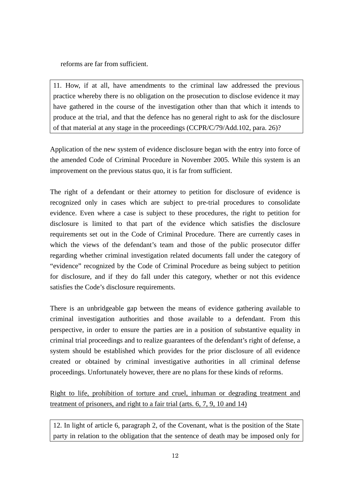reforms are far from sufficient.

11. How, if at all, have amendments to the criminal law addressed the previous practice whereby there is no obligation on the prosecution to disclose evidence it may have gathered in the course of the investigation other than that which it intends to produce at the trial, and that the defence has no general right to ask for the disclosure of that material at any stage in the proceedings (CCPR/C/79/Add.102, para. 26)?

Application of the new system of evidence disclosure began with the entry into force of the amended Code of Criminal Procedure in November 2005. While this system is an improvement on the previous status quo, it is far from sufficient.

The right of a defendant or their attorney to petition for disclosure of evidence is recognized only in cases which are subject to pre-trial procedures to consolidate evidence. Even where a case is subject to these procedures, the right to petition for disclosure is limited to that part of the evidence which satisfies the disclosure requirements set out in the Code of Criminal Procedure. There are currently cases in which the views of the defendant's team and those of the public prosecutor differ regarding whether criminal investigation related documents fall under the category of "evidence" recognized by the Code of Criminal Procedure as being subject to petition for disclosure, and if they do fall under this category, whether or not this evidence satisfies the Code's disclosure requirements.

There is an unbridgeable gap between the means of evidence gathering available to criminal investigation authorities and those available to a defendant. From this perspective, in order to ensure the parties are in a position of substantive equality in criminal trial proceedings and to realize guarantees of the defendant's right of defense, a system should be established which provides for the prior disclosure of all evidence created or obtained by criminal investigative authorities in all criminal defense proceedings. Unfortunately however, there are no plans for these kinds of reforms.

Right to life, prohibition of torture and cruel, inhuman or degrading treatment and treatment of prisoners, and right to a fair trial (arts. 6, 7, 9, 10 and 14)

12. In light of article 6, paragraph 2, of the Covenant, what is the position of the State party in relation to the obligation that the sentence of death may be imposed only for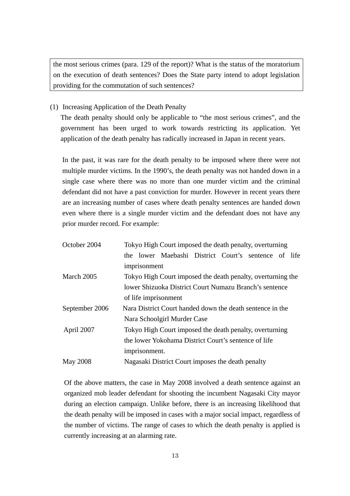the most serious crimes (para. 129 of the report)? What is the status of the moratorium on the execution of death sentences? Does the State party intend to adopt legislation providing for the commutation of such sentences?

(1) Increasing Application of the Death Penalty

The death penalty should only be applicable to "the most serious crimes", and the government has been urged to work towards restricting its application. Yet application of the death penalty has radically increased in Japan in recent years.

In the past, it was rare for the death penalty to be imposed where there were not multiple murder victims. In the 1990's, the death penalty was not handed down in a single case where there was no more than one murder victim and the criminal defendant did not have a past conviction for murder. However in recent years there are an increasing number of cases where death penalty sentences are handed down even where there is a single murder victim and the defendant does not have any prior murder record. For example:

| October 2004                                                          | Tokyo High Court imposed the death penalty, overturning   |               |                                                             |  |  |  |  |  |
|-----------------------------------------------------------------------|-----------------------------------------------------------|---------------|-------------------------------------------------------------|--|--|--|--|--|
|                                                                       |                                                           |               | the lower Maebashi District Court's sentence of life        |  |  |  |  |  |
|                                                                       |                                                           | imprisonment  |                                                             |  |  |  |  |  |
| March 2005                                                            |                                                           |               | Tokyo High Court imposed the death penalty, overturning the |  |  |  |  |  |
|                                                                       |                                                           |               | lower Shizuoka District Court Numazu Branch's sentence      |  |  |  |  |  |
|                                                                       | of life imprisonment                                      |               |                                                             |  |  |  |  |  |
| September 2006                                                        | Nara District Court handed down the death sentence in the |               |                                                             |  |  |  |  |  |
|                                                                       |                                                           |               | Nara Schoolgirl Murder Case                                 |  |  |  |  |  |
| April 2007<br>Tokyo High Court imposed the death penalty, overturning |                                                           |               |                                                             |  |  |  |  |  |
|                                                                       | the lower Yokohama District Court's sentence of life      |               |                                                             |  |  |  |  |  |
|                                                                       |                                                           | imprisonment. |                                                             |  |  |  |  |  |
| <b>May 2008</b>                                                       |                                                           |               | Nagasaki District Court imposes the death penalty           |  |  |  |  |  |

Of the above matters, the case in May 2008 involved a death sentence against an organized mob leader defendant for shooting the incumbent Nagasaki City mayor during an election campaign. Unlike before, there is an increasing likelihood that the death penalty will be imposed in cases with a major social impact, regardless of the number of victims. The range of cases to which the death penalty is applied is currently increasing at an alarming rate.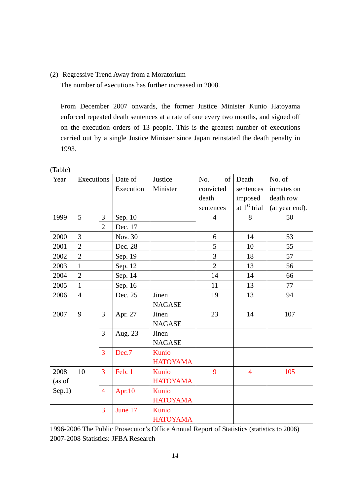# (2) Regressive Trend Away from a Moratorium

The number of executions has further increased in 2008.

From December 2007 onwards, the former Justice Minister Kunio Hatoyama enforced repeated death sentences at a rate of one every two months, and signed off on the execution orders of 13 people. This is the greatest number of executions carried out by a single Justice Minister since Japan reinstated the death penalty in 1993.

| Year   | Executions     |                | Date of   | Justice         | No.<br>of      | Death                    | No. of         |
|--------|----------------|----------------|-----------|-----------------|----------------|--------------------------|----------------|
|        |                |                | Execution | Minister        | convicted      | sentences                | inmates on     |
|        |                |                |           |                 | death          | imposed                  | death row      |
|        |                |                |           |                 | sentences      | at 1 <sup>st</sup> trial | (at year end). |
| 1999   | 5              | 3              | Sep. 10   |                 | $\overline{4}$ | 8                        | 50             |
|        |                | $\overline{2}$ | Dec. 17   |                 |                |                          |                |
| 2000   | 3              |                | Nov. 30   |                 | 6              | 14                       | 53             |
| 2001   | $\overline{2}$ |                | Dec. 28   |                 | 5              | 10                       | 55             |
| 2002   | $\overline{2}$ |                | Sep. 19   |                 | 3              | 18                       | 57             |
| 2003   | $\mathbf{1}$   |                | Sep. 12   |                 | $\overline{2}$ | 13                       | 56             |
| 2004   | $\overline{2}$ |                | Sep. 14   |                 | 14             | 14                       | 66             |
| 2005   | $\mathbf{1}$   |                | Sep. 16   |                 | 11             | 13                       | 77             |
| 2006   | $\overline{4}$ |                | Dec. 25   | Jinen           | 19             | 13                       | 94             |
|        |                |                |           | <b>NAGASE</b>   |                |                          |                |
| 2007   | 9              | 3              | Apr. 27   | Jinen           | 23             | 14                       | 107            |
|        |                |                |           | <b>NAGASE</b>   |                |                          |                |
|        |                | $\overline{3}$ | Aug. 23   | Jinen           |                |                          |                |
|        |                |                |           | <b>NAGASE</b>   |                |                          |                |
|        |                | 3              | Dec.7     | Kunio           |                |                          |                |
|        |                |                |           | <b>HATOYAMA</b> |                |                          |                |
| 2008   | 10             | $\overline{3}$ | Feb. 1    | Kunio           | 9              | $\overline{4}$           | 105            |
| (as of |                |                |           | <b>HATOYAMA</b> |                |                          |                |
| Sep.1) | $\overline{4}$ |                | Apr. $10$ | Kunio           |                |                          |                |
|        |                |                |           | <b>HATOYAMA</b> |                |                          |                |
|        |                | 3              | June 17   | Kunio           |                |                          |                |
|        |                |                |           | <b>HATOYAMA</b> |                |                          |                |

(Table)

1996-2006 The Public Prosecutor's Office Annual Report of Statistics (statistics to 2006) 2007-2008 Statistics: JFBA Research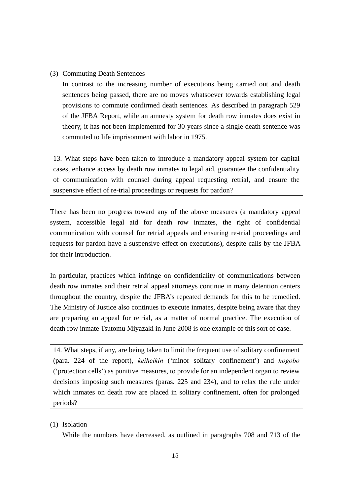# (3) Commuting Death Sentences

In contrast to the increasing number of executions being carried out and death sentences being passed, there are no moves whatsoever towards establishing legal provisions to commute confirmed death sentences. As described in paragraph 529 of the JFBA Report, while an amnesty system for death row inmates does exist in theory, it has not been implemented for 30 years since a single death sentence was commuted to life imprisonment with labor in 1975.

13. What steps have been taken to introduce a mandatory appeal system for capital cases, enhance access by death row inmates to legal aid, guarantee the confidentiality of communication with counsel during appeal requesting retrial, and ensure the suspensive effect of re-trial proceedings or requests for pardon?

There has been no progress toward any of the above measures (a mandatory appeal system, accessible legal aid for death row inmates, the right of confidential communication with counsel for retrial appeals and ensuring re-trial proceedings and requests for pardon have a suspensive effect on executions), despite calls by the JFBA for their introduction.

In particular, practices which infringe on confidentiality of communications between death row inmates and their retrial appeal attorneys continue in many detention centers throughout the country, despite the JFBA's repeated demands for this to be remedied. The Ministry of Justice also continues to execute inmates, despite being aware that they are preparing an appeal for retrial, as a matter of normal practice. The execution of death row inmate Tsutomu Miyazaki in June 2008 is one example of this sort of case.

14. What steps, if any, are being taken to limit the frequent use of solitary confinement (para. 224 of the report), *keiheikin* ('minor solitary confinement') and *hogobo* ('protection cells') as punitive measures, to provide for an independent organ to review decisions imposing such measures (paras. 225 and 234), and to relax the rule under which inmates on death row are placed in solitary confinement, often for prolonged periods?

# (1) Isolation

While the numbers have decreased, as outlined in paragraphs 708 and 713 of the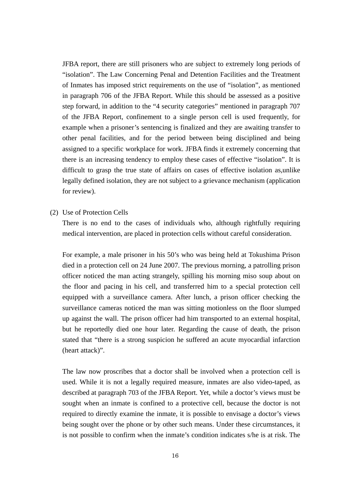JFBA report, there are still prisoners who are subject to extremely long periods of "isolation". The Law Concerning Penal and Detention Facilities and the Treatment of Inmates has imposed strict requirements on the use of "isolation", as mentioned in paragraph 706 of the JFBA Report. While this should be assessed as a positive step forward, in addition to the "4 security categories" mentioned in paragraph 707 of the JFBA Report, confinement to a single person cell is used frequently, for example when a prisoner's sentencing is finalized and they are awaiting transfer to other penal facilities, and for the period between being disciplined and being assigned to a specific workplace for work. JFBA finds it extremely concerning that there is an increasing tendency to employ these cases of effective "isolation". It is difficult to grasp the true state of affairs on cases of effective isolation as,unlike legally defined isolation, they are not subject to a grievance mechanism (application for review).

(2) Use of Protection Cells

There is no end to the cases of individuals who, although rightfully requiring medical intervention, are placed in protection cells without careful consideration.

For example, a male prisoner in his 50's who was being held at Tokushima Prison died in a protection cell on 24 June 2007. The previous morning, a patrolling prison officer noticed the man acting strangely, spilling his morning miso soup about on the floor and pacing in his cell, and transferred him to a special protection cell equipped with a surveillance camera. After lunch, a prison officer checking the surveillance cameras noticed the man was sitting motionless on the floor slumped up against the wall. The prison officer had him transported to an external hospital, but he reportedly died one hour later. Regarding the cause of death, the prison stated that "there is a strong suspicion he suffered an acute myocardial infarction (heart attack)".

The law now proscribes that a doctor shall be involved when a protection cell is used. While it is not a legally required measure, inmates are also video-taped, as described at paragraph 703 of the JFBA Report. Yet, while a doctor's views must be sought when an inmate is confined to a protective cell, because the doctor is not required to directly examine the inmate, it is possible to envisage a doctor's views being sought over the phone or by other such means. Under these circumstances, it is not possible to confirm when the inmate's condition indicates s/he is at risk. The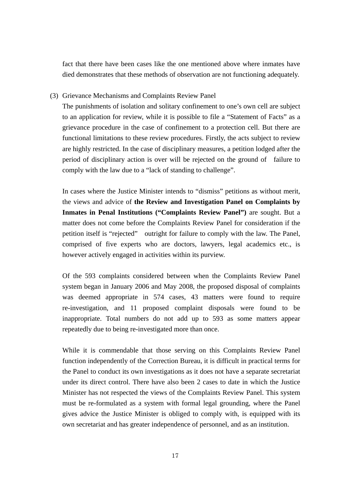fact that there have been cases like the one mentioned above where inmates have died demonstrates that these methods of observation are not functioning adequately.

### (3) Grievance Mechanisms and Complaints Review Panel

The punishments of isolation and solitary confinement to one's own cell are subject to an application for review, while it is possible to file a "Statement of Facts" as a grievance procedure in the case of confinement to a protection cell. But there are functional limitations to these review procedures. Firstly, the acts subject to review are highly restricted. In the case of disciplinary measures, a petition lodged after the period of disciplinary action is over will be rejected on the ground of failure to comply with the law due to a "lack of standing to challenge".

In cases where the Justice Minister intends to "dismiss" petitions as without merit, the views and advice of **the Review and Investigation Panel on Complaints by Inmates in Penal Institutions ("Complaints Review Panel")** are sought. But a matter does not come before the Complaints Review Panel for consideration if the petition itself is "rejected" outright for failure to comply with the law. The Panel, comprised of five experts who are doctors, lawyers, legal academics etc., is however actively engaged in activities within its purview.

Of the 593 complaints considered between when the Complaints Review Panel system began in January 2006 and May 2008, the proposed disposal of complaints was deemed appropriate in 574 cases, 43 matters were found to require re-investigation, and 11 proposed complaint disposals were found to be inappropriate. Total numbers do not add up to 593 as some matters appear repeatedly due to being re-investigated more than once.

While it is commendable that those serving on this Complaints Review Panel function independently of the Correction Bureau, it is difficult in practical terms for the Panel to conduct its own investigations as it does not have a separate secretariat under its direct control. There have also been 2 cases to date in which the Justice Minister has not respected the views of the Complaints Review Panel. This system must be re-formulated as a system with formal legal grounding, where the Panel gives advice the Justice Minister is obliged to comply with, is equipped with its own secretariat and has greater independence of personnel, and as an institution.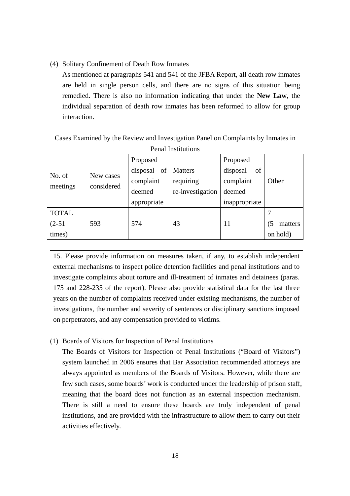(4) Solitary Confinement of Death Row Inmates

As mentioned at paragraphs 541 and 541 of the JFBA Report, all death row inmates are held in single person cells, and there are no signs of this situation being remedied. There is also no information indicating that under the **New Law**, the individual separation of death row inmates has been reformed to allow for group interaction.

| Cases Examined by the Review and Investigation Panel on Complaints by Inmates in |  |                 |  |          |  |
|----------------------------------------------------------------------------------|--|-----------------|--|----------|--|
| <b>Penal Institutions</b>                                                        |  |                 |  |          |  |
|                                                                                  |  | <b>Dronogod</b> |  | Droposod |  |

|                    |                         | Proposed    |                  | Proposed       |               |
|--------------------|-------------------------|-------------|------------------|----------------|---------------|
| No. of<br>meetings | New cases<br>considered | disposal of | <b>Matters</b>   | of<br>disposal |               |
|                    |                         | complaint   | requiring        | complaint      | Other         |
|                    |                         | deemed      | re-investigation | deemed         |               |
|                    |                         | appropriate |                  | inappropriate  |               |
| <b>TOTAL</b>       |                         |             |                  |                |               |
| $(2-51)$           | 593                     | 574         | 43               | 11             | 15<br>matters |
| times)             |                         |             |                  |                | on hold)      |

15. Please provide information on measures taken, if any, to establish independent external mechanisms to inspect police detention facilities and penal institutions and to investigate complaints about torture and ill-treatment of inmates and detainees (paras. 175 and 228-235 of the report). Please also provide statistical data for the last three years on the number of complaints received under existing mechanisms, the number of investigations, the number and severity of sentences or disciplinary sanctions imposed on perpetrators, and any compensation provided to victims.

# (1) Boards of Visitors for Inspection of Penal Institutions

The Boards of Visitors for Inspection of Penal Institutions ("Board of Visitors") system launched in 2006 ensures that Bar Association recommended attorneys are always appointed as members of the Boards of Visitors. However, while there are few such cases, some boards' work is conducted under the leadership of prison staff, meaning that the board does not function as an external inspection mechanism. There is still a need to ensure these boards are truly independent of penal institutions, and are provided with the infrastructure to allow them to carry out their activities effectively.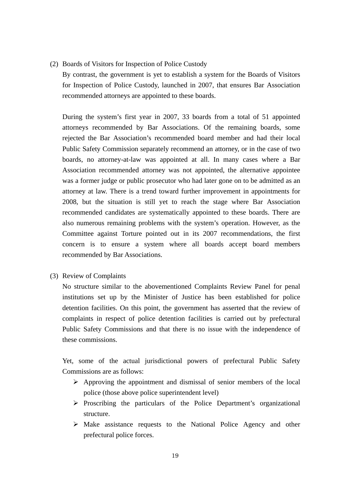(2) Boards of Visitors for Inspection of Police Custody

By contrast, the government is yet to establish a system for the Boards of Visitors for Inspection of Police Custody, launched in 2007, that ensures Bar Association recommended attorneys are appointed to these boards.

During the system's first year in 2007, 33 boards from a total of 51 appointed attorneys recommended by Bar Associations. Of the remaining boards, some rejected the Bar Association's recommended board member and had their local Public Safety Commission separately recommend an attorney, or in the case of two boards, no attorney-at-law was appointed at all. In many cases where a Bar Association recommended attorney was not appointed, the alternative appointee was a former judge or public prosecutor who had later gone on to be admitted as an attorney at law. There is a trend toward further improvement in appointments for 2008, but the situation is still yet to reach the stage where Bar Association recommended candidates are systematically appointed to these boards. There are also numerous remaining problems with the system's operation. However, as the Committee against Torture pointed out in its 2007 recommendations, the first concern is to ensure a system where all boards accept board members recommended by Bar Associations.

(3) Review of Complaints

No structure similar to the abovementioned Complaints Review Panel for penal institutions set up by the Minister of Justice has been established for police detention facilities. On this point, the government has asserted that the review of complaints in respect of police detention facilities is carried out by prefectural Public Safety Commissions and that there is no issue with the independence of these commissions.

Yet, some of the actual jurisdictional powers of prefectural Public Safety Commissions are as follows:

- $\triangleright$  Approving the appointment and dismissal of senior members of the local police (those above police superintendent level)
- $\triangleright$  Proscribing the particulars of the Police Department's organizational structure.
- $\triangleright$  Make assistance requests to the National Police Agency and other prefectural police forces.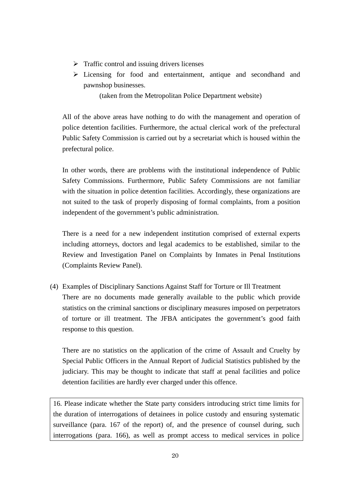- $\triangleright$  Traffic control and issuing drivers licenses
- ¾ Licensing for food and entertainment, antique and secondhand and pawnshop businesses.

(taken from the Metropolitan Police Department website)

All of the above areas have nothing to do with the management and operation of police detention facilities. Furthermore, the actual clerical work of the prefectural Public Safety Commission is carried out by a secretariat which is housed within the prefectural police.

In other words, there are problems with the institutional independence of Public Safety Commissions. Furthermore, Public Safety Commissions are not familiar with the situation in police detention facilities. Accordingly, these organizations are not suited to the task of properly disposing of formal complaints, from a position independent of the government's public administration.

There is a need for a new independent institution comprised of external experts including attorneys, doctors and legal academics to be established, similar to the Review and Investigation Panel on Complaints by Inmates in Penal Institutions (Complaints Review Panel).

(4) Examples of Disciplinary Sanctions Against Staff for Torture or Ill Treatment There are no documents made generally available to the public which provide statistics on the criminal sanctions or disciplinary measures imposed on perpetrators of torture or ill treatment. The JFBA anticipates the government's good faith response to this question.

There are no statistics on the application of the crime of Assault and Cruelty by Special Public Officers in the Annual Report of Judicial Statistics published by the judiciary. This may be thought to indicate that staff at penal facilities and police detention facilities are hardly ever charged under this offence.

16. Please indicate whether the State party considers introducing strict time limits for the duration of interrogations of detainees in police custody and ensuring systematic surveillance (para. 167 of the report) of, and the presence of counsel during, such interrogations (para. 166), as well as prompt access to medical services in police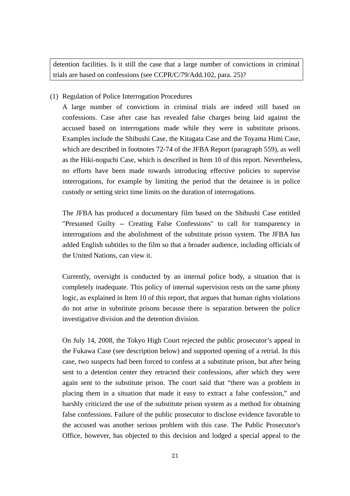detention facilities. Is it still the case that a large number of convictions in criminal trials are based on confessions (see CCPR/C/79/Add.102, para. 25)?

(1) Regulation of Police Interrogation Procedures

A large number of convictions in criminal trials are indeed still based on confessions. Case after case has revealed false charges being laid against the accused based on interrogations made while they were in substitute prisons. Examples include the Shibushi Case, the Kitagata Case and the Toyama Himi Case, which are described in footnotes 72-74 of the JFBA Report (paragraph 559), as well as the Hiki-noguchi Case, which is described in Item 10 of this report. Nevertheless, no efforts have been made towards introducing effective policies to supervise interrogations, for example by limiting the period that the detainee is in police custody or setting strict time limits on the duration of interrogations.

The JFBA has produced a documentary film based on the Shibushi Case entitled "Presumed Guilty -- Creating False Confessions" to call for transparency in interrogations and the abolishment of the substitute prison system. The JFBA has added English subtitles to the film so that a broader audience, including officials of the United Nations, can view it.

Currently, oversight is conducted by an internal police body, a situation that is completely inadequate. This policy of internal supervision rests on the same phony logic, as explained in Item 10 of this report, that argues that human rights violations do not arise in substitute prisons because there is separation between the police investigative division and the detention division.

On July 14, 2008, the Tokyo High Court rejected the public prosecutor's appeal in the Fukawa Case (see description below) and supported opening of a retrial. In this case, two suspects had been forced to confess at a substitute prison, but after being sent to a detention center they retracted their confessions, after which they were again sent to the substitute prison. The court said that "there was a problem in placing them in a situation that made it easy to extract a false confession," and harshly criticized the use of the substitute prison system as a method for obtaining false confessions. Failure of the public prosecutor to disclose evidence favorable to the accused was another serious problem with this case. The Public Prosecutor's Office, however, has objected to this decision and lodged a special appeal to the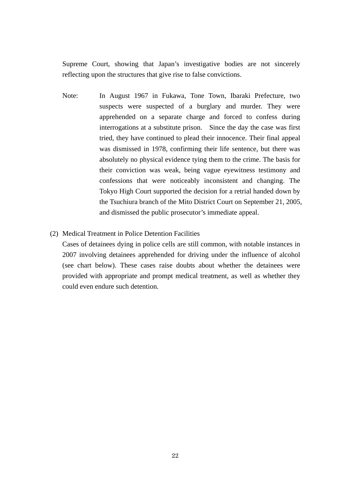Supreme Court, showing that Japan's investigative bodies are not sincerely reflecting upon the structures that give rise to false convictions.

- Note: In August 1967 in Fukawa, Tone Town, Ibaraki Prefecture, two suspects were suspected of a burglary and murder. They were apprehended on a separate charge and forced to confess during interrogations at a substitute prison. Since the day the case was first tried, they have continued to plead their innocence. Their final appeal was dismissed in 1978, confirming their life sentence, but there was absolutely no physical evidence tying them to the crime. The basis for their conviction was weak, being vague eyewitness testimony and confessions that were noticeably inconsistent and changing. The Tokyo High Court supported the decision for a retrial handed down by the Tsuchiura branch of the Mito District Court on September 21, 2005, and dismissed the public prosecutor's immediate appeal.
- (2) Medical Treatment in Police Detention Facilities

Cases of detainees dying in police cells are still common, with notable instances in 2007 involving detainees apprehended for driving under the influence of alcohol (see chart below). These cases raise doubts about whether the detainees were provided with appropriate and prompt medical treatment, as well as whether they could even endure such detention.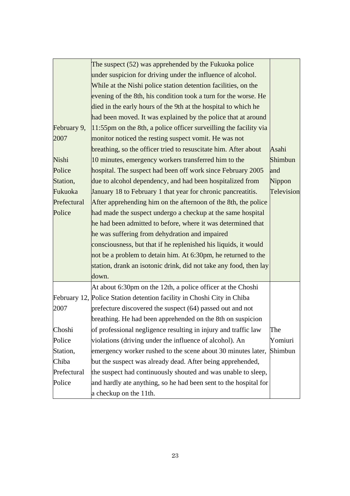|             | The suspect (52) was apprehended by the Fukuoka police                   |            |  |  |  |
|-------------|--------------------------------------------------------------------------|------------|--|--|--|
|             | under suspicion for driving under the influence of alcohol.              |            |  |  |  |
|             | While at the Nishi police station detention facilities, on the           |            |  |  |  |
|             | evening of the 8th, his condition took a turn for the worse. He          |            |  |  |  |
|             | died in the early hours of the 9th at the hospital to which he           |            |  |  |  |
|             | had been moved. It was explained by the police that at around            |            |  |  |  |
| February 9, | $ 11:55$ pm on the 8th, a police officer surveilling the facility via    |            |  |  |  |
| 2007        | monitor noticed the resting suspect vomit. He was not                    |            |  |  |  |
|             | breathing, so the officer tried to resuscitate him. After about<br>Asahi |            |  |  |  |
| Nishi       | 10 minutes, emergency workers transferred him to the                     | Shimbun    |  |  |  |
| Police      | hospital. The suspect had been off work since February 2005              | and        |  |  |  |
| Station,    | due to alcohol dependency, and had been hospitalized from                | Nippon     |  |  |  |
| Fukuoka     | January 18 to February 1 that year for chronic pancreatitis.             | Television |  |  |  |
| Prefectural | After apprehending him on the afternoon of the 8th, the police           |            |  |  |  |
| Police      | had made the suspect undergo a checkup at the same hospital              |            |  |  |  |
|             | he had been admitted to before, where it was determined that             |            |  |  |  |
|             | he was suffering from dehydration and impaired                           |            |  |  |  |
|             | consciousness, but that if he replenished his liquids, it would          |            |  |  |  |
|             | not be a problem to detain him. At 6:30pm, he returned to the            |            |  |  |  |
|             | station, drank an isotonic drink, did not take any food, then lay        |            |  |  |  |
|             | down.                                                                    |            |  |  |  |
|             | At about 6:30pm on the 12th, a police officer at the Choshi              |            |  |  |  |
|             | February 12, Police Station detention facility in Choshi City in Chiba   |            |  |  |  |
| 2007        | prefecture discovered the suspect (64) passed out and not                |            |  |  |  |
|             | breathing. He had been apprehended on the 8th on suspicion               |            |  |  |  |
| Choshi      | of professional negligence resulting in injury and traffic law<br>The    |            |  |  |  |
| Police      | violations (driving under the influence of alcohol). An<br>Yomiuri       |            |  |  |  |
| Station,    | emergency worker rushed to the scene about 30 minutes later,<br>Shimbun  |            |  |  |  |
| Chiba       | but the suspect was already dead. After being apprehended,               |            |  |  |  |
| Prefectural | the suspect had continuously shouted and was unable to sleep,            |            |  |  |  |
| Police      | and hardly ate anything, so he had been sent to the hospital for         |            |  |  |  |
|             | a checkup on the 11th.                                                   |            |  |  |  |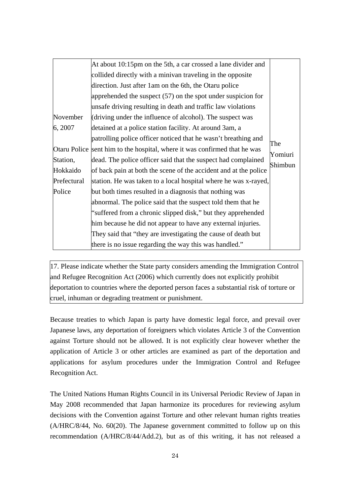|             | At about 10:15pm on the 5th, a car crossed a lane divider and                       |     |  |  |  |
|-------------|-------------------------------------------------------------------------------------|-----|--|--|--|
|             | collided directly with a minivan traveling in the opposite                          |     |  |  |  |
|             | direction. Just after 1 am on the 6th, the Otaru police                             |     |  |  |  |
|             | apprehended the suspect $(57)$ on the spot under suspicion for                      |     |  |  |  |
|             | unsafe driving resulting in death and traffic law violations                        |     |  |  |  |
| November    | (driving under the influence of alcohol). The suspect was                           |     |  |  |  |
| 6, 2007     | detained at a police station facility. At around 3am, a                             |     |  |  |  |
|             | patrolling police officer noticed that he wasn't breathing and                      |     |  |  |  |
|             | Otaru Police sent him to the hospital, where it was confirmed that he was           | The |  |  |  |
| Station,    | Yomiuri<br>dead. The police officer said that the suspect had complained<br>Shimbun |     |  |  |  |
| Hokkaido    | of back pain at both the scene of the accident and at the police                    |     |  |  |  |
| Prefectural | station. He was taken to a local hospital where he was x-rayed,                     |     |  |  |  |
| Police      | but both times resulted in a diagnosis that nothing was                             |     |  |  |  |
|             | abnormal. The police said that the suspect told them that he                        |     |  |  |  |
|             | "suffered from a chronic slipped disk," but they apprehended                        |     |  |  |  |
|             | him because he did not appear to have any external injuries.                        |     |  |  |  |
|             | They said that "they are investigating the cause of death but                       |     |  |  |  |
|             | there is no issue regarding the way this was handled."                              |     |  |  |  |

17. Please indicate whether the State party considers amending the Immigration Control and Refugee Recognition Act (2006) which currently does not explicitly prohibit deportation to countries where the deported person faces a substantial risk of torture or cruel, inhuman or degrading treatment or punishment.

Because treaties to which Japan is party have domestic legal force, and prevail over Japanese laws, any deportation of foreigners which violates Article 3 of the Convention against Torture should not be allowed. It is not explicitly clear however whether the application of Article 3 or other articles are examined as part of the deportation and applications for asylum procedures under the Immigration Control and Refugee Recognition Act.

The United Nations Human Rights Council in its Universal Periodic Review of Japan in May 2008 recommended that Japan harmonize its procedures for reviewing asylum decisions with the Convention against Torture and other relevant human rights treaties (A/HRC/8/44, No. 60(20). The Japanese government committed to follow up on this recommendation (A/HRC/8/44/Add.2), but as of this writing, it has not released a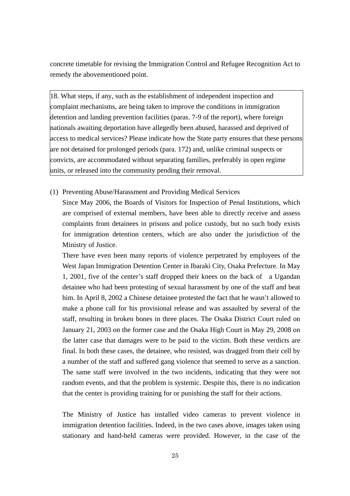concrete timetable for revising the Immigration Control and Refugee Recognition Act to remedy the abovementioned point.

18. What steps, if any, such as the establishment of independent inspection and complaint mechanisms, are being taken to improve the conditions in immigration detention and landing prevention facilities (paras. 7-9 of the report), where foreign nationals awaiting deportation have allegedly been abused, harassed and deprived of access to medical services? Please indicate how the State party ensures that these persons are not detained for prolonged periods (para. 172) and, unlike criminal suspects or convicts, are accommodated without separating families, preferably in open regime units, or released into the community pending their removal.

## (1) Preventing Abuse/Harassment and Providing Medical Services

Since May 2006, the Boards of Visitors for Inspection of Penal Institutions, which are comprised of external members, have been able to directly receive and assess complaints from detainees in prisons and police custody, but no such body exists for immigration detention centers, which are also under the jurisdiction of the Ministry of Justice.

There have even been many reports of violence perpetrated by employees of the West Japan Immigration Detention Center in Ibaraki City, Osaka Prefecture. In May 1, 2001, five of the center's staff dropped their knees on the back of a Ugandan detainee who had been protesting of sexual harassment by one of the staff and beat him. In April 8, 2002 a Chinese detainee protested the fact that he wasn't allowed to make a phone call for his provisional release and was assaulted by several of the staff, resulting in broken bones in three places. The Osaka District Court ruled on January 21, 2003 on the former case and the Osaka High Court in May 29, 2008 on the latter case that damages were to be paid to the victim. Both these verdicts are final. In both these cases, the detainee, who resisted, was dragged from their cell by a number of the staff and suffered gang violence that seemed to serve as a sanction. The same staff were involved in the two incidents, indicating that they were not random events, and that the problem is systemic. Despite this, there is no indication that the center is providing training for or punishing the staff for their actions.

The Ministry of Justice has installed video cameras to prevent violence in immigration detention facilities. Indeed, in the two cases above, images taken using stationary and hand-held cameras were provided. However, in the case of the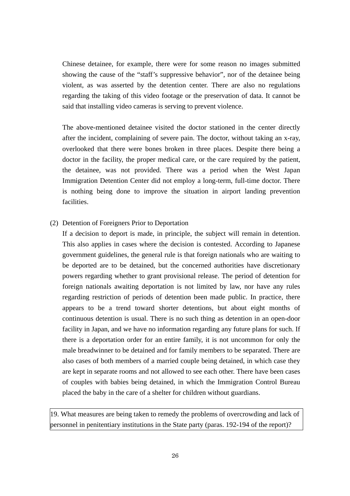Chinese detainee, for example, there were for some reason no images submitted showing the cause of the "staff's suppressive behavior", nor of the detainee being violent, as was asserted by the detention center. There are also no regulations regarding the taking of this video footage or the preservation of data. It cannot be said that installing video cameras is serving to prevent violence.

The above-mentioned detainee visited the doctor stationed in the center directly after the incident, complaining of severe pain. The doctor, without taking an x-ray, overlooked that there were bones broken in three places. Despite there being a doctor in the facility, the proper medical care, or the care required by the patient, the detainee, was not provided. There was a period when the West Japan Immigration Detention Center did not employ a long-term, full-time doctor. There is nothing being done to improve the situation in airport landing prevention facilities.

## (2) Detention of Foreigners Prior to Deportation

If a decision to deport is made, in principle, the subject will remain in detention. This also applies in cases where the decision is contested. According to Japanese government guidelines, the general rule is that foreign nationals who are waiting to be deported are to be detained, but the concerned authorities have discretionary powers regarding whether to grant provisional release. The period of detention for foreign nationals awaiting deportation is not limited by law, nor have any rules regarding restriction of periods of detention been made public. In practice, there appears to be a trend toward shorter detentions, but about eight months of continuous detention is usual. There is no such thing as detention in an open-door facility in Japan, and we have no information regarding any future plans for such. If there is a deportation order for an entire family, it is not uncommon for only the male breadwinner to be detained and for family members to be separated. There are also cases of both members of a married couple being detained, in which case they are kept in separate rooms and not allowed to see each other. There have been cases of couples with babies being detained, in which the Immigration Control Bureau placed the baby in the care of a shelter for children without guardians.

19. What measures are being taken to remedy the problems of overcrowding and lack of personnel in penitentiary institutions in the State party (paras. 192-194 of the report)?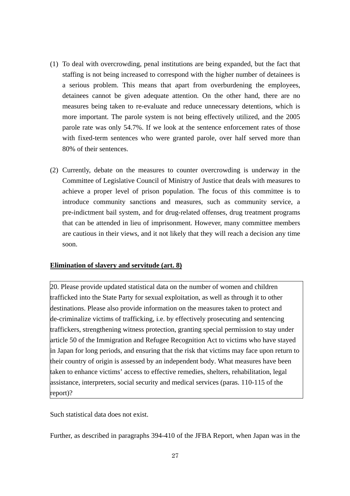- (1) To deal with overcrowding, penal institutions are being expanded, but the fact that staffing is not being increased to correspond with the higher number of detainees is a serious problem. This means that apart from overburdening the employees, detainees cannot be given adequate attention. On the other hand, there are no measures being taken to re-evaluate and reduce unnecessary detentions, which is more important. The parole system is not being effectively utilized, and the 2005 parole rate was only 54.7%. If we look at the sentence enforcement rates of those with fixed-term sentences who were granted parole, over half served more than 80% of their sentences.
- (2) Currently, debate on the measures to counter overcrowding is underway in the Committee of Legislative Council of Ministry of Justice that deals with measures to achieve a proper level of prison population. The focus of this committee is to introduce community sanctions and measures, such as community service, a pre-indictment bail system, and for drug-related offenses, drug treatment programs that can be attended in lieu of imprisonment. However, many committee members are cautious in their views, and it not likely that they will reach a decision any time soon.

### **Elimination of slavery and servitude (art. 8)**

20. Please provide updated statistical data on the number of women and children trafficked into the State Party for sexual exploitation, as well as through it to other destinations. Please also provide information on the measures taken to protect and de-criminalize victims of trafficking, i.e. by effectively prosecuting and sentencing traffickers, strengthening witness protection, granting special permission to stay under article 50 of the Immigration and Refugee Recognition Act to victims who have stayed in Japan for long periods, and ensuring that the risk that victims may face upon return to their country of origin is assessed by an independent body. What measures have been taken to enhance victims' access to effective remedies, shelters, rehabilitation, legal assistance, interpreters, social security and medical services (paras. 110-115 of the report)?

Such statistical data does not exist.

Further, as described in paragraphs 394-410 of the JFBA Report, when Japan was in the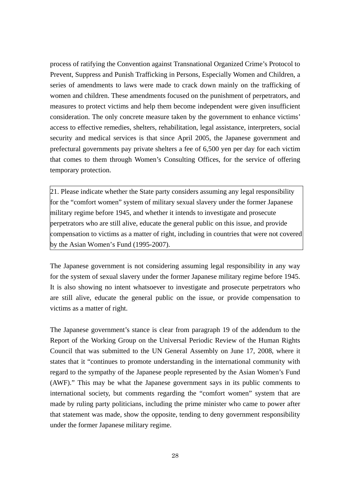process of ratifying the Convention against Transnational Organized Crime's Protocol to Prevent, Suppress and Punish Trafficking in Persons, Especially Women and Children, a series of amendments to laws were made to crack down mainly on the trafficking of women and children. These amendments focused on the punishment of perpetrators, and measures to protect victims and help them become independent were given insufficient consideration. The only concrete measure taken by the government to enhance victims' access to effective remedies, shelters, rehabilitation, legal assistance, interpreters, social security and medical services is that since April 2005, the Japanese government and prefectural governments pay private shelters a fee of 6,500 yen per day for each victim that comes to them through Women's Consulting Offices, for the service of offering temporary protection.

21. Please indicate whether the State party considers assuming any legal responsibility for the "comfort women" system of military sexual slavery under the former Japanese military regime before 1945, and whether it intends to investigate and prosecute perpetrators who are still alive, educate the general public on this issue, and provide compensation to victims as a matter of right, including in countries that were not covered by the Asian Women's Fund (1995-2007).

The Japanese government is not considering assuming legal responsibility in any way for the system of sexual slavery under the former Japanese military regime before 1945. It is also showing no intent whatsoever to investigate and prosecute perpetrators who are still alive, educate the general public on the issue, or provide compensation to victims as a matter of right.

The Japanese government's stance is clear from paragraph 19 of the addendum to the Report of the Working Group on the Universal Periodic Review of the Human Rights Council that was submitted to the UN General Assembly on June 17, 2008, where it states that it "continues to promote understanding in the international community with regard to the sympathy of the Japanese people represented by the Asian Women's Fund (AWF)." This may be what the Japanese government says in its public comments to international society, but comments regarding the "comfort women" system that are made by ruling party politicians, including the prime minister who came to power after that statement was made, show the opposite, tending to deny government responsibility under the former Japanese military regime.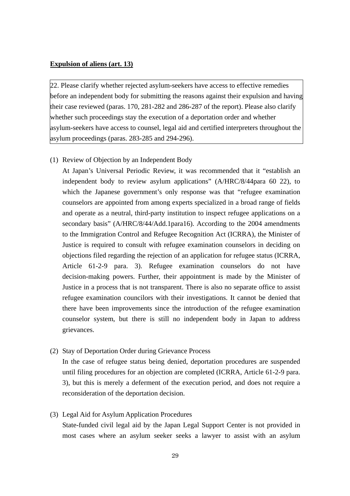### **Expulsion of aliens (art. 13)**

22. Please clarify whether rejected asylum-seekers have access to effective remedies before an independent body for submitting the reasons against their expulsion and having their case reviewed (paras. 170, 281-282 and 286-287 of the report). Please also clarify whether such proceedings stay the execution of a deportation order and whether asylum-seekers have access to counsel, legal aid and certified interpreters throughout the asylum proceedings (paras. 283-285 and 294-296).

#### (1) Review of Objection by an Independent Body

At Japan's Universal Periodic Review, it was recommended that it "establish an independent body to review asylum applications" (A/HRC/8/44para 60 22), to which the Japanese government's only response was that "refugee examination counselors are appointed from among experts specialized in a broad range of fields and operate as a neutral, third-party institution to inspect refugee applications on a secondary basis" (A/HRC/8/44/Add.1para16). According to the 2004 amendments to the Immigration Control and Refugee Recognition Act (ICRRA), the Minister of Justice is required to consult with refugee examination counselors in deciding on objections filed regarding the rejection of an application for refugee status (ICRRA, Article 61-2-9 para. 3). Refugee examination counselors do not have decision-making powers. Further, their appointment is made by the Minister of Justice in a process that is not transparent. There is also no separate office to assist refugee examination councilors with their investigations. It cannot be denied that there have been improvements since the introduction of the refugee examination counselor system, but there is still no independent body in Japan to address grievances.

(2) Stay of Deportation Order during Grievance Process

In the case of refugee status being denied, deportation procedures are suspended until filing procedures for an objection are completed (ICRRA, Article 61-2-9 para. 3), but this is merely a deferment of the execution period, and does not require a reconsideration of the deportation decision.

(3) Legal Aid for Asylum Application Procedures

State-funded civil legal aid by the Japan Legal Support Center is not provided in most cases where an asylum seeker seeks a lawyer to assist with an asylum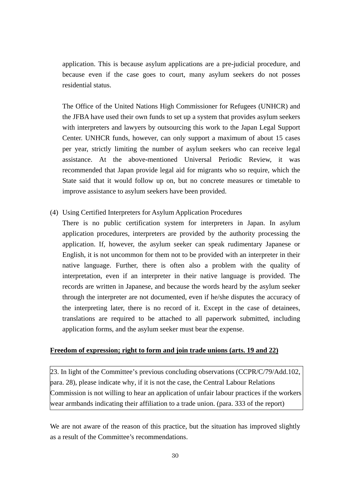application. This is because asylum applications are a pre-judicial procedure, and because even if the case goes to court, many asylum seekers do not posses residential status.

The Office of the United Nations High Commissioner for Refugees (UNHCR) and the JFBA have used their own funds to set up a system that provides asylum seekers with interpreters and lawyers by outsourcing this work to the Japan Legal Support Center. UNHCR funds, however, can only support a maximum of about 15 cases per year, strictly limiting the number of asylum seekers who can receive legal assistance. At the above-mentioned Universal Periodic Review, it was recommended that Japan provide legal aid for migrants who so require, which the State said that it would follow up on, but no concrete measures or timetable to improve assistance to asylum seekers have been provided.

- (4) Using Certified Interpreters for Asylum Application Procedures
	- There is no public certification system for interpreters in Japan. In asylum application procedures, interpreters are provided by the authority processing the application. If, however, the asylum seeker can speak rudimentary Japanese or English, it is not uncommon for them not to be provided with an interpreter in their native language. Further, there is often also a problem with the quality of interpretation, even if an interpreter in their native language is provided. The records are written in Japanese, and because the words heard by the asylum seeker through the interpreter are not documented, even if he/she disputes the accuracy of the interpreting later, there is no record of it. Except in the case of detainees, translations are required to be attached to all paperwork submitted, including application forms, and the asylum seeker must bear the expense.

# **Freedom of expression; right to form and join trade unions (arts. 19 and 22)**

23. In light of the Committee's previous concluding observations (CCPR/C/79/Add.102, para. 28), please indicate why, if it is not the case, the Central Labour Relations Commission is not willing to hear an application of unfair labour practices if the workers wear armbands indicating their affiliation to a trade union. (para. 333 of the report)

We are not aware of the reason of this practice, but the situation has improved slightly as a result of the Committee's recommendations.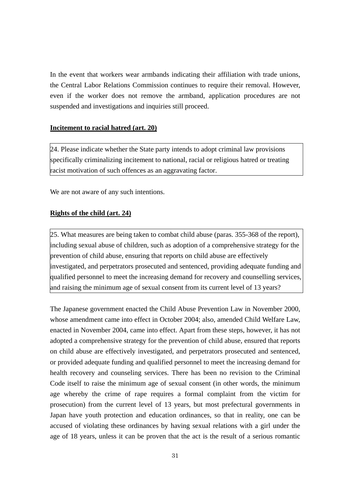In the event that workers wear armbands indicating their affiliation with trade unions, the Central Labor Relations Commission continues to require their removal. However, even if the worker does not remove the armband, application procedures are not suspended and investigations and inquiries still proceed.

## **Incitement to racial hatred (art. 20)**

24. Please indicate whether the State party intends to adopt criminal law provisions specifically criminalizing incitement to national, racial or religious hatred or treating racist motivation of such offences as an aggravating factor.

We are not aware of any such intentions.

## **Rights of the child (art. 24)**

25. What measures are being taken to combat child abuse (paras. 355-368 of the report), including sexual abuse of children, such as adoption of a comprehensive strategy for the prevention of child abuse, ensuring that reports on child abuse are effectively investigated, and perpetrators prosecuted and sentenced, providing adequate funding and qualified personnel to meet the increasing demand for recovery and counselling services, and raising the minimum age of sexual consent from its current level of 13 years?

The Japanese government enacted the Child Abuse Prevention Law in November 2000, whose amendment came into effect in October 2004; also, amended Child Welfare Law, enacted in November 2004, came into effect. Apart from these steps, however, it has not adopted a comprehensive strategy for the prevention of child abuse, ensured that reports on child abuse are effectively investigated, and perpetrators prosecuted and sentenced, or provided adequate funding and qualified personnel to meet the increasing demand for health recovery and counseling services. There has been no revision to the Criminal Code itself to raise the minimum age of sexual consent (in other words, the minimum age whereby the crime of rape requires a formal complaint from the victim for prosecution) from the current level of 13 years, but most prefectural governments in Japan have youth protection and education ordinances, so that in reality, one can be accused of violating these ordinances by having sexual relations with a girl under the age of 18 years, unless it can be proven that the act is the result of a serious romantic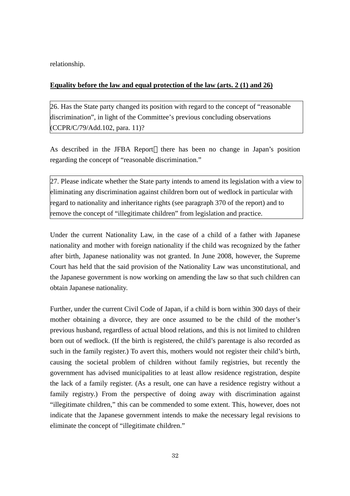relationship.

# **Equality before the law and equal protection of the law (arts. 2 (1) and 26)**

26. Has the State party changed its position with regard to the concept of "reasonable discrimination", in light of the Committee's previous concluding observations (CCPR/C/79/Add.102, para. 11)?

As described in the JFBA Report there has been no change in Japan's position regarding the concept of "reasonable discrimination."

27. Please indicate whether the State party intends to amend its legislation with a view to eliminating any discrimination against children born out of wedlock in particular with regard to nationality and inheritance rights (see paragraph 370 of the report) and to remove the concept of "illegitimate children" from legislation and practice.

Under the current Nationality Law, in the case of a child of a father with Japanese nationality and mother with foreign nationality if the child was recognized by the father after birth, Japanese nationality was not granted. In June 2008, however, the Supreme Court has held that the said provision of the Nationality Law was unconstitutional, and the Japanese government is now working on amending the law so that such children can obtain Japanese nationality.

Further, under the current Civil Code of Japan, if a child is born within 300 days of their mother obtaining a divorce, they are once assumed to be the child of the mother's previous husband, regardless of actual blood relations, and this is not limited to children born out of wedlock. (If the birth is registered, the child's parentage is also recorded as such in the family register.) To avert this, mothers would not register their child's birth, causing the societal problem of children without family registries, but recently the government has advised municipalities to at least allow residence registration, despite the lack of a family register. (As a result, one can have a residence registry without a family registry.) From the perspective of doing away with discrimination against "illegitimate children," this can be commended to some extent. This, however, does not indicate that the Japanese government intends to make the necessary legal revisions to eliminate the concept of "illegitimate children."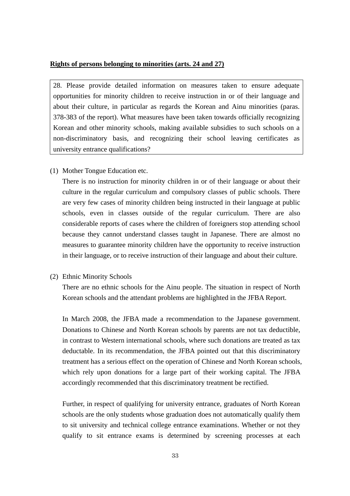#### **Rights of persons belonging to minorities (arts. 24 and 27)**

28. Please provide detailed information on measures taken to ensure adequate opportunities for minority children to receive instruction in or of their language and about their culture, in particular as regards the Korean and Ainu minorities (paras. 378-383 of the report). What measures have been taken towards officially recognizing Korean and other minority schools, making available subsidies to such schools on a non-discriminatory basis, and recognizing their school leaving certificates as university entrance qualifications?

(1) Mother Tongue Education etc.

There is no instruction for minority children in or of their language or about their culture in the regular curriculum and compulsory classes of public schools. There are very few cases of minority children being instructed in their language at public schools, even in classes outside of the regular curriculum. There are also considerable reports of cases where the children of foreigners stop attending school because they cannot understand classes taught in Japanese. There are almost no measures to guarantee minority children have the opportunity to receive instruction in their language, or to receive instruction of their language and about their culture.

(2) Ethnic Minority Schools

There are no ethnic schools for the Ainu people. The situation in respect of North Korean schools and the attendant problems are highlighted in the JFBA Report.

In March 2008, the JFBA made a recommendation to the Japanese government. Donations to Chinese and North Korean schools by parents are not tax deductible, in contrast to Western international schools, where such donations are treated as tax deductable. In its recommendation, the JFBA pointed out that this discriminatory treatment has a serious effect on the operation of Chinese and North Korean schools, which rely upon donations for a large part of their working capital. The JFBA accordingly recommended that this discriminatory treatment be rectified.

Further, in respect of qualifying for university entrance, graduates of North Korean schools are the only students whose graduation does not automatically qualify them to sit university and technical college entrance examinations. Whether or not they qualify to sit entrance exams is determined by screening processes at each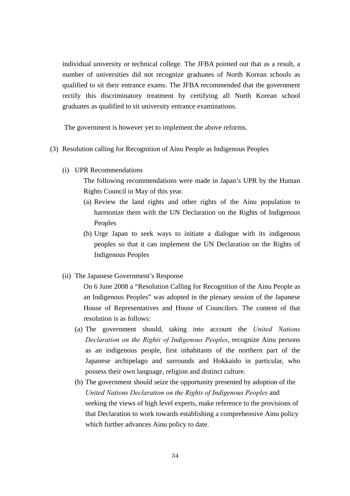individual university or technical college. The JFBA pointed out that as a result, a number of universities did not recognize graduates of North Korean schools as qualified to sit their entrance exams. The JFBA recommended that the government rectify this discriminatory treatment by certifying all North Korean school graduates as qualified to sit university entrance examinations.

The government is however yet to implement the above reforms.

- (3) Resolution calling for Recognition of Ainu People as Indigenous Peoples
	- (i) UPR Recommendations

The following recommendations were made in Japan's UPR by the Human Rights Council in May of this year.

- (a) Review the land rights and other rights of the Ainu population to harmonize them with the UN Declaration on the Rights of Indigenous Peoples
- (b) Urge Japan to seek ways to initiate a dialogue with its indigenous peoples so that it can implement the UN Declaration on the Rights of Indigenous Peoples
- (ii) The Japanese Government's Response

On 6 June 2008 a "Resolution Calling for Recognition of the Ainu People as an Indigenous Peoples" was adopted in the plenary session of the Japanese House of Representatives and House of Councilors. The content of that resolution is as follows:

- (a) The government should, taking into account the *United Nations Declaration on the Rights of Indigenous Peoples*, recognize Ainu persons as an indigenous people, first inhabitants of the northern part of the Japanese archipelago and surrounds and Hokkaido in particular, who possess their own language, religion and distinct culture.
- (b) The government should seize the opportunity presented by adoption of the *United Nations Declaration on the Rights of Indigenous Peoples* and seeking the views of high level experts, make reference to the provisions of that Declaration to work towards establishing a comprehensive Ainu policy which further advances Ainu policy to date.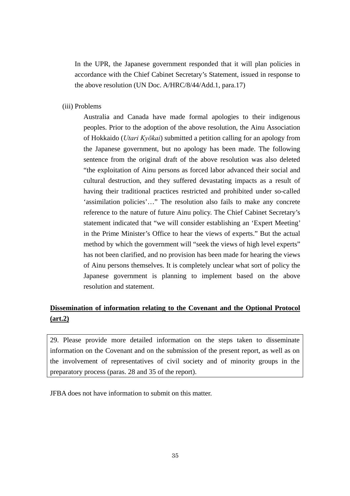In the UPR, the Japanese government responded that it will plan policies in accordance with the Chief Cabinet Secretary's Statement, issued in response to the above resolution (UN Doc. A/HRC/8/44/Add.1, para.17)

(iii) Problems

Australia and Canada have made formal apologies to their indigenous peoples. Prior to the adoption of the above resolution, the Ainu Association of Hokkaido (*Utari Kyōkai*) submitted a petition calling for an apology from the Japanese government, but no apology has been made. The following sentence from the original draft of the above resolution was also deleted "the exploitation of Ainu persons as forced labor advanced their social and cultural destruction, and they suffered devastating impacts as a result of having their traditional practices restricted and prohibited under so-called 'assimilation policies'…" The resolution also fails to make any concrete reference to the nature of future Ainu policy. The Chief Cabinet Secretary's statement indicated that "we will consider establishing an 'Expert Meeting' in the Prime Minister's Office to hear the views of experts." But the actual method by which the government will "seek the views of high level experts" has not been clarified, and no provision has been made for hearing the views of Ainu persons themselves. It is completely unclear what sort of policy the Japanese government is planning to implement based on the above resolution and statement.

# **Dissemination of information relating to the Covenant and the Optional Protocol (art.2)**

29. Please provide more detailed information on the steps taken to disseminate information on the Covenant and on the submission of the present report, as well as on the involvement of representatives of civil society and of minority groups in the preparatory process (paras. 28 and 35 of the report).

JFBA does not have information to submit on this matter.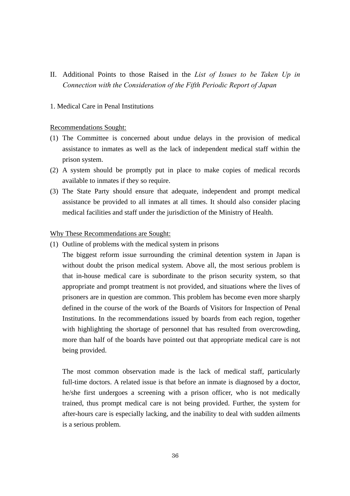II. Additional Points to those Raised in the *List of Issues to be Taken Up in Connection with the Consideration of the Fifth Periodic Report of Japan*

## 1. Medical Care in Penal Institutions

#### Recommendations Sought:

- (1) The Committee is concerned about undue delays in the provision of medical assistance to inmates as well as the lack of independent medical staff within the prison system.
- (2) A system should be promptly put in place to make copies of medical records available to inmates if they so require.
- (3) The State Party should ensure that adequate, independent and prompt medical assistance be provided to all inmates at all times. It should also consider placing medical facilities and staff under the jurisdiction of the Ministry of Health.

#### Why These Recommendations are Sought:

(1) Outline of problems with the medical system in prisons

The biggest reform issue surrounding the criminal detention system in Japan is without doubt the prison medical system. Above all, the most serious problem is that in-house medical care is subordinate to the prison security system, so that appropriate and prompt treatment is not provided, and situations where the lives of prisoners are in question are common. This problem has become even more sharply defined in the course of the work of the Boards of Visitors for Inspection of Penal Institutions. In the recommendations issued by boards from each region, together with highlighting the shortage of personnel that has resulted from overcrowding, more than half of the boards have pointed out that appropriate medical care is not being provided.

The most common observation made is the lack of medical staff, particularly full-time doctors. A related issue is that before an inmate is diagnosed by a doctor, he/she first undergoes a screening with a prison officer, who is not medically trained, thus prompt medical care is not being provided. Further, the system for after-hours care is especially lacking, and the inability to deal with sudden ailments is a serious problem.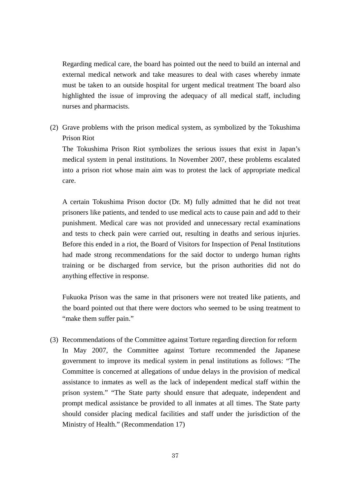Regarding medical care, the board has pointed out the need to build an internal and external medical network and take measures to deal with cases whereby inmate must be taken to an outside hospital for urgent medical treatment The board also highlighted the issue of improving the adequacy of all medical staff, including nurses and pharmacists.

(2) Grave problems with the prison medical system, as symbolized by the Tokushima Prison Riot

The Tokushima Prison Riot symbolizes the serious issues that exist in Japan's medical system in penal institutions. In November 2007, these problems escalated into a prison riot whose main aim was to protest the lack of appropriate medical care.

A certain Tokushima Prison doctor (Dr. M) fully admitted that he did not treat prisoners like patients, and tended to use medical acts to cause pain and add to their punishment. Medical care was not provided and unnecessary rectal examinations and tests to check pain were carried out, resulting in deaths and serious injuries. Before this ended in a riot, the Board of Visitors for Inspection of Penal Institutions had made strong recommendations for the said doctor to undergo human rights training or be discharged from service, but the prison authorities did not do anything effective in response.

Fukuoka Prison was the same in that prisoners were not treated like patients, and the board pointed out that there were doctors who seemed to be using treatment to "make them suffer pain."

(3) Recommendations of the Committee against Torture regarding direction for reform In May 2007, the Committee against Torture recommended the Japanese government to improve its medical system in penal institutions as follows: "The Committee is concerned at allegations of undue delays in the provision of medical assistance to inmates as well as the lack of independent medical staff within the prison system." "The State party should ensure that adequate, independent and prompt medical assistance be provided to all inmates at all times. The State party should consider placing medical facilities and staff under the jurisdiction of the Ministry of Health." (Recommendation 17)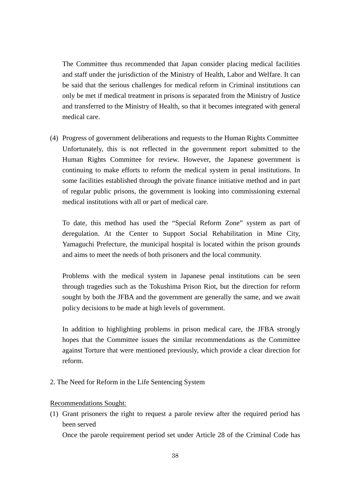The Committee thus recommended that Japan consider placing medical facilities and staff under the jurisdiction of the Ministry of Health, Labor and Welfare. It can be said that the serious challenges for medical reform in Criminal institutions can only be met if medical treatment in prisons is separated from the Ministry of Justice and transferred to the Ministry of Health, so that it becomes integrated with general medical care.

(4) Progress of government deliberations and requests to the Human Rights Committee Unfortunately, this is not reflected in the government report submitted to the Human Rights Committee for review. However, the Japanese government is continuing to make efforts to reform the medical system in penal institutions. In some facilities established through the private finance initiative method and in part of regular public prisons, the government is looking into commissioning external medical institutions with all or part of medical care.

To date, this method has used the "Special Reform Zone" system as part of deregulation. At the Center to Support Social Rehabilitation in Mine City, Yamaguchi Prefecture, the municipal hospital is located within the prison grounds and aims to meet the needs of both prisoners and the local community.

Problems with the medical system in Japanese penal institutions can be seen through tragedies such as the Tokushima Prison Riot, but the direction for reform sought by both the JFBA and the government are generally the same, and we await policy decisions to be made at high levels of government.

In addition to highlighting problems in prison medical care, the JFBA strongly hopes that the Committee issues the similar recommendations as the Committee against Torture that were mentioned previously, which provide a clear direction for reform.

2. The Need for Reform in the Life Sentencing System

### Recommendations Sought:

(1) Grant prisoners the right to request a parole review after the required period has been served

Once the parole requirement period set under Article 28 of the Criminal Code has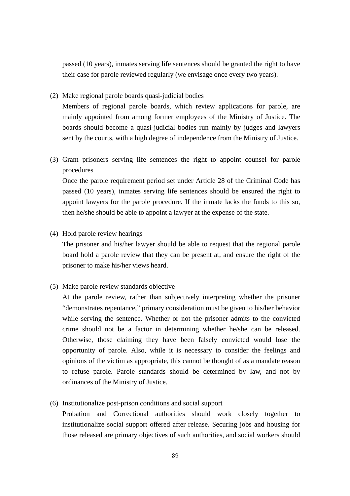passed (10 years), inmates serving life sentences should be granted the right to have their case for parole reviewed regularly (we envisage once every two years).

(2) Make regional parole boards quasi-judicial bodies

Members of regional parole boards, which review applications for parole, are mainly appointed from among former employees of the Ministry of Justice. The boards should become a quasi-judicial bodies run mainly by judges and lawyers sent by the courts, with a high degree of independence from the Ministry of Justice.

(3) Grant prisoners serving life sentences the right to appoint counsel for parole procedures

Once the parole requirement period set under Article 28 of the Criminal Code has passed (10 years), inmates serving life sentences should be ensured the right to appoint lawyers for the parole procedure. If the inmate lacks the funds to this so, then he/she should be able to appoint a lawyer at the expense of the state.

(4) Hold parole review hearings

The prisoner and his/her lawyer should be able to request that the regional parole board hold a parole review that they can be present at, and ensure the right of the prisoner to make his/her views heard.

(5) Make parole review standards objective

At the parole review, rather than subjectively interpreting whether the prisoner "demonstrates repentance," primary consideration must be given to his/her behavior while serving the sentence. Whether or not the prisoner admits to the convicted crime should not be a factor in determining whether he/she can be released. Otherwise, those claiming they have been falsely convicted would lose the opportunity of parole. Also, while it is necessary to consider the feelings and opinions of the victim as appropriate, this cannot be thought of as a mandate reason to refuse parole. Parole standards should be determined by law, and not by ordinances of the Ministry of Justice.

(6) Institutionalize post-prison conditions and social support

Probation and Correctional authorities should work closely together to institutionalize social support offered after release. Securing jobs and housing for those released are primary objectives of such authorities, and social workers should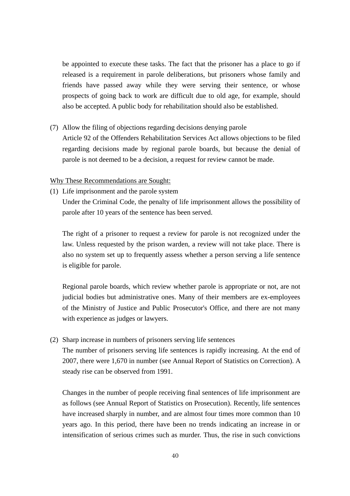be appointed to execute these tasks. The fact that the prisoner has a place to go if released is a requirement in parole deliberations, but prisoners whose family and friends have passed away while they were serving their sentence, or whose prospects of going back to work are difficult due to old age, for example, should also be accepted. A public body for rehabilitation should also be established.

(7) Allow the filing of objections regarding decisions denying parole Article 92 of the Offenders Rehabilitation Services Act allows objections to be filed regarding decisions made by regional parole boards, but because the denial of parole is not deemed to be a decision, a request for review cannot be made.

#### Why These Recommendations are Sought:

(1) Life imprisonment and the parole system

Under the Criminal Code, the penalty of life imprisonment allows the possibility of parole after 10 years of the sentence has been served.

The right of a prisoner to request a review for parole is not recognized under the law. Unless requested by the prison warden, a review will not take place. There is also no system set up to frequently assess whether a person serving a life sentence is eligible for parole.

Regional parole boards, which review whether parole is appropriate or not, are not judicial bodies but administrative ones. Many of their members are ex-employees of the Ministry of Justice and Public Prosecutor's Office, and there are not many with experience as judges or lawyers.

(2) Sharp increase in numbers of prisoners serving life sentences

The number of prisoners serving life sentences is rapidly increasing. At the end of 2007, there were 1,670 in number (see Annual Report of Statistics on Correction). A steady rise can be observed from 1991.

Changes in the number of people receiving final sentences of life imprisonment are as follows (see Annual Report of Statistics on Prosecution). Recently, life sentences have increased sharply in number, and are almost four times more common than 10 years ago. In this period, there have been no trends indicating an increase in or intensification of serious crimes such as murder. Thus, the rise in such convictions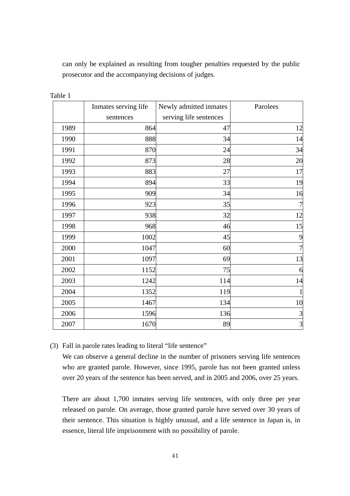can only be explained as resulting from tougher penalties requested by the public prosecutor and the accompanying decisions of judges.

|      | Inmates serving life | Newly admitted inmates | Parolees       |
|------|----------------------|------------------------|----------------|
|      | sentences            | serving life sentences |                |
| 1989 | 864                  | 47                     | 12             |
| 1990 | 888                  | 34                     | 14             |
| 1991 | 870                  | 24                     | 34             |
| 1992 | 873                  | 28                     | 20             |
| 1993 | 883                  | 27                     | 17             |
| 1994 | 894                  | 33                     | 19             |
| 1995 | 909                  | 34                     | 16             |
| 1996 | 923                  | 35                     | 7              |
| 1997 | 938                  | 32                     | 12             |
| 1998 | 968                  | 46                     | 15             |
| 1999 | 1002                 | 45                     | 9              |
| 2000 | 1047                 | 60                     | $\overline{7}$ |
| 2001 | 1097                 | 69                     | 13             |
| 2002 | 1152                 | 75                     | 6              |
| 2003 | 1242                 | 114                    | 14             |
| 2004 | 1352                 | 119                    |                |
| 2005 | 1467                 | 134                    | 10             |
| 2006 | 1596                 | 136                    | 3              |
| 2007 | 1670                 | 89                     | $\overline{3}$ |

Table 1

(3) Fall in parole rates leading to literal "life sentence"

We can observe a general decline in the number of prisoners serving life sentences who are granted parole. However, since 1995, parole has not been granted unless over 20 years of the sentence has been served, and in 2005 and 2006, over 25 years.

There are about 1,700 inmates serving life sentences, with only three per year released on parole. On average, those granted parole have served over 30 years of their sentence. This situation is highly unusual, and a life sentence in Japan is, in essence, literal life imprisonment with no possibility of parole.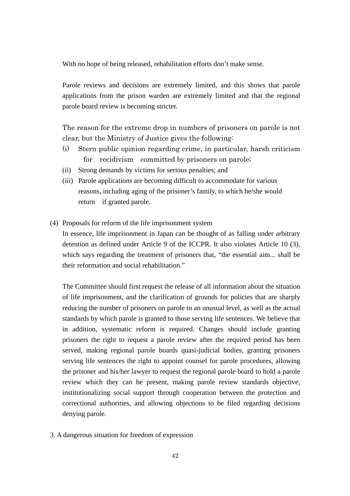With no hope of being released, rehabilitation efforts don't make sense.

Parole reviews and decisions are extremely limited, and this shows that parole applications from the prison warden are extremely limited and that the regional parole board review is becoming stricter.

The reason for the extreme drop in numbers of prisoners on parole is not clear, but the Ministry of Justice gives the following:

- (i) Stern public opinion regarding crime, in particular, harsh criticism for recidivism committed by prisoners on parole;
- (ii) Strong demands by victims for serious penalties; and
- (iii) Parole applications are becoming difficult to accommodate for various reasons, including aging of the prisoner's family, to which he/she would return if granted parole.
- (4) Proposals for reform of the life imprisonment system

In essence, life imprisonment in Japan can be thought of as falling under arbitrary detention as defined under Article 9 of the ICCPR. It also violates Article 10 (3), which says regarding the treatment of prisoners that, "the essential aim... shall be their reformation and social rehabilitation."

The Committee should first request the release of all information about the situation of life imprisonment, and the clarification of grounds for policies that are sharply reducing the number of prisoners on parole to an unusual level, as well as the actual standards by which parole is granted to those serving life sentences. We believe that in addition, systematic reform is required. Changes should include granting prisoners the right to request a parole review after the required period has been served, making regional parole boards quasi-judicial bodies, granting prisoners serving life sentences the right to appoint counsel for parole procedures, allowing the prisoner and his/her lawyer to request the regional parole board to hold a parole review which they can be present, making parole review standards objective, institutionalizing social support through cooperation between the protection and correctional authorities, and allowing objections to be filed regarding decisions denying parole.

3. A dangerous situation for freedom of expression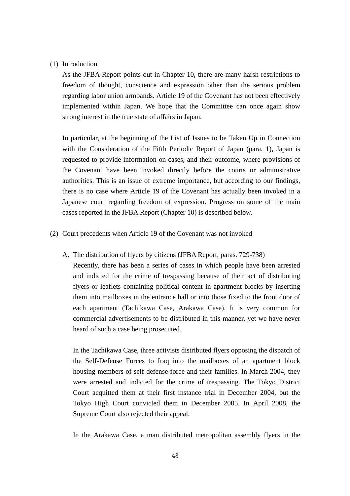#### (1) Introduction

As the JFBA Report points out in Chapter 10, there are many harsh restrictions to freedom of thought, conscience and expression other than the serious problem regarding labor union armbands. Article 19 of the Covenant has not been effectively implemented within Japan. We hope that the Committee can once again show strong interest in the true state of affairs in Japan.

In particular, at the beginning of the List of Issues to be Taken Up in Connection with the Consideration of the Fifth Periodic Report of Japan (para. 1), Japan is requested to provide information on cases, and their outcome, where provisions of the Covenant have been invoked directly before the courts or administrative authorities. This is an issue of extreme importance, but according to our findings, there is no case where Article 19 of the Covenant has actually been invoked in a Japanese court regarding freedom of expression. Progress on some of the main cases reported in the JFBA Report (Chapter 10) is described below.

- (2) Court precedents when Article 19 of the Covenant was not invoked
	- A. The distribution of flyers by citizens (JFBA Report, paras. 729-738)

Recently, there has been a series of cases in which people have been arrested and indicted for the crime of trespassing because of their act of distributing flyers or leaflets containing political content in apartment blocks by inserting them into mailboxes in the entrance hall or into those fixed to the front door of each apartment (Tachikawa Case, Arakawa Case). It is very common for commercial advertisements to be distributed in this manner, yet we have never heard of such a case being prosecuted.

In the Tachikawa Case, three activists distributed flyers opposing the dispatch of the Self-Defense Forces to Iraq into the mailboxes of an apartment block housing members of self-defense force and their families. In March 2004, they were arrested and indicted for the crime of trespassing. The Tokyo District Court acquitted them at their first instance trial in December 2004, but the Tokyo High Court convicted them in December 2005. In April 2008, the Supreme Court also rejected their appeal.

In the Arakawa Case, a man distributed metropolitan assembly flyers in the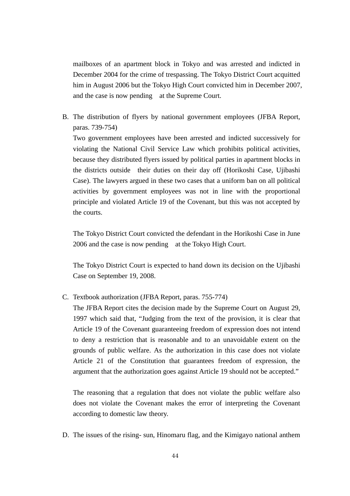mailboxes of an apartment block in Tokyo and was arrested and indicted in December 2004 for the crime of trespassing. The Tokyo District Court acquitted him in August 2006 but the Tokyo High Court convicted him in December 2007, and the case is now pending at the Supreme Court.

B. The distribution of flyers by national government employees (JFBA Report, paras. 739-754)

Two government employees have been arrested and indicted successively for violating the National Civil Service Law which prohibits political activities, because they distributed flyers issued by political parties in apartment blocks in the districts outside their duties on their day off (Horikoshi Case, Ujibashi Case). The lawyers argued in these two cases that a uniform ban on all political activities by government employees was not in line with the proportional principle and violated Article 19 of the Covenant, but this was not accepted by the courts.

The Tokyo District Court convicted the defendant in the Horikoshi Case in June 2006 and the case is now pending at the Tokyo High Court.

The Tokyo District Court is expected to hand down its decision on the Ujibashi Case on September 19, 2008.

C. Textbook authorization (JFBA Report, paras. 755-774)

The JFBA Report cites the decision made by the Supreme Court on August 29, 1997 which said that, "Judging from the text of the provision, it is clear that Article 19 of the Covenant guaranteeing freedom of expression does not intend to deny a restriction that is reasonable and to an unavoidable extent on the grounds of public welfare. As the authorization in this case does not violate Article 21 of the Constitution that guarantees freedom of expression, the argument that the authorization goes against Article 19 should not be accepted."

The reasoning that a regulation that does not violate the public welfare also does not violate the Covenant makes the error of interpreting the Covenant according to domestic law theory.

D. The issues of the rising- sun, Hinomaru flag, and the Kimigayo national anthem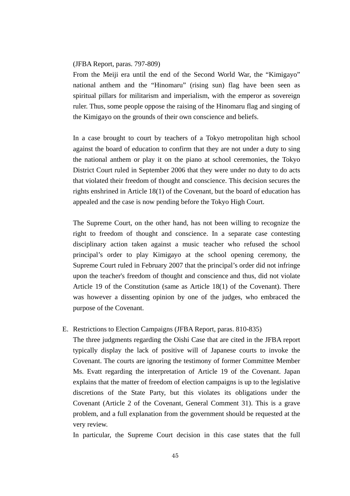#### (JFBA Report, paras. 797-809)

From the Meiji era until the end of the Second World War, the "Kimigayo" national anthem and the "Hinomaru" (rising sun) flag have been seen as spiritual pillars for militarism and imperialism, with the emperor as sovereign ruler. Thus, some people oppose the raising of the Hinomaru flag and singing of the Kimigayo on the grounds of their own conscience and beliefs.

In a case brought to court by teachers of a Tokyo metropolitan high school against the board of education to confirm that they are not under a duty to sing the national anthem or play it on the piano at school ceremonies, the Tokyo District Court ruled in September 2006 that they were under no duty to do acts that violated their freedom of thought and conscience. This decision secures the rights enshrined in Article 18(1) of the Covenant, but the board of education has appealed and the case is now pending before the Tokyo High Court.

The Supreme Court, on the other hand, has not been willing to recognize the right to freedom of thought and conscience. In a separate case contesting disciplinary action taken against a music teacher who refused the school principal's order to play Kimigayo at the school opening ceremony, the Supreme Court ruled in February 2007 that the principal's order did not infringe upon the teacher's freedom of thought and conscience and thus, did not violate Article 19 of the Constitution (same as Article 18(1) of the Covenant). There was however a dissenting opinion by one of the judges, who embraced the purpose of the Covenant.

#### E. Restrictions to Election Campaigns (JFBA Report, paras. 810-835)

The three judgments regarding the Oishi Case that are cited in the JFBA report typically display the lack of positive will of Japanese courts to invoke the Covenant. The courts are ignoring the testimony of former Committee Member Ms. Evatt regarding the interpretation of Article 19 of the Covenant. Japan explains that the matter of freedom of election campaigns is up to the legislative discretions of the State Party, but this violates its obligations under the Covenant (Article 2 of the Covenant, General Comment 31). This is a grave problem, and a full explanation from the government should be requested at the very review.

In particular, the Supreme Court decision in this case states that the full